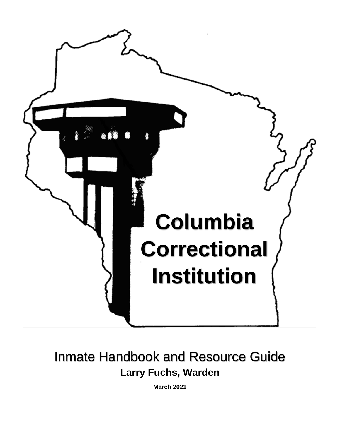

# Inmate Handbook and Resource Guide **Larry Fuchs, Warden**

**March 2021**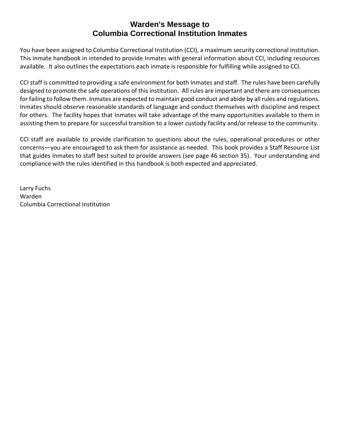### **Warden's Message to Columbia Correctional Institution Inmates**

You have been assigned to Columbia Correctional Institution (CCI), a maximum security correctional institution. This inmate handbook in intended to provide Inmates with general information about CCI, including resources available. It also outlines the expectations each inmate is responsible for fulfilling while assigned to CCI.

CCI staff is committed to providing a safe environment for both Inmates and staff. The rules have been carefully designed to promote the safe operations of this institution. All rules are important and there are consequences for failing to follow them. Inmates are expected to maintain good conduct and abide by all rules and regulations. Inmates should observe reasonable standards of language and conduct themselves with discipline and respect for others. The facility hopes that Inmates will take advantage of the many opportunities available to them in assisting them to prepare for successful transition to a lower custody facility and/or release to the community.

CCI staff are available to provide clarification to questions about the rules, operational procedures or other concerns—you are encouraged to ask them for assistance as needed. This book provides a Staff Resource List that guides Inmates to staff best suited to provide answers (see page 46 section 35). Your understanding and compliance with the rules identified in this handbook is both expected and appreciated.

Larry Fuchs Warden Columbia Correctional Institution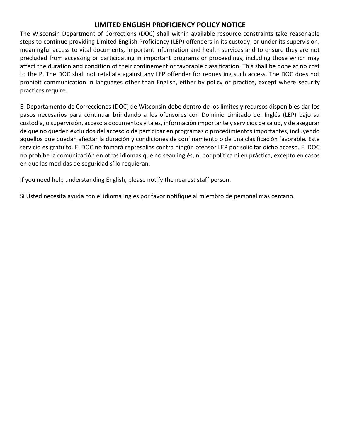### **LIMITED ENGLISH PROFICIENCY POLICY NOTICE**

The Wisconsin Department of Corrections (DOC) shall within available resource constraints take reasonable steps to continue providing Limited English Proficiency (LEP) offenders in its custody, or under its supervision, meaningful access to vital documents, important information and health services and to ensure they are not precluded from accessing or participating in important programs or proceedings, including those which may affect the duration and condition of their confinement or favorable classification. This shall be done at no cost to the P. The DOC shall not retaliate against any LEP offender for requesting such access. The DOC does not prohibit communication in languages other than English, either by policy or practice, except where security practices require.

El Departamento de Correcciones (DOC) de Wisconsin debe dentro de los límites y recursos disponibles dar los pasos necesarios para continuar brindando a los ofensores con Dominio Limitado del Inglés (LEP) bajo su custodia, o supervisión, acceso a documentos vitales, información importante y servicios de salud, y de asegurar de que no queden excluidos del acceso o de participar en programas o procedimientos importantes, incluyendo aquellos que puedan afectar la duración y condiciones de confinamiento o de una clasificación favorable. Este servicio es gratuito. El DOC no tomará represalias contra ningún ofensor LEP por solicitar dicho acceso. El DOC no prohíbe la comunicación en otros idiomas que no sean inglés, ni por política ni en práctica, excepto en casos en que las medidas de seguridad sí lo requieran.

If you need help understanding English, please notify the nearest staff person.

Si Usted necesita ayuda con el idioma Ingles por favor notifique al miembro de personal mas cercano.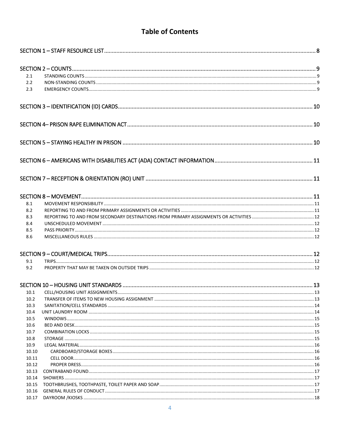# **Table of Contents**

| 2.1   |  |
|-------|--|
| 2.2   |  |
| 2.3   |  |
|       |  |
|       |  |
|       |  |
|       |  |
|       |  |
|       |  |
| 8.1   |  |
| 8.2   |  |
| 8.3   |  |
| 8.4   |  |
| 8.5   |  |
| 8.6   |  |
|       |  |
| 9.1   |  |
| 9.2   |  |
|       |  |
| 10.1  |  |
| 10.2  |  |
| 10.3  |  |
| 10.4  |  |
| 10.5  |  |
| 10.6  |  |
| 10.7  |  |
| 10.8  |  |
| 10.9  |  |
| 10.10 |  |
| 10.11 |  |
| 10.12 |  |
| 10.13 |  |
| 10.14 |  |
| 10.15 |  |
| 10.16 |  |
| 10.17 |  |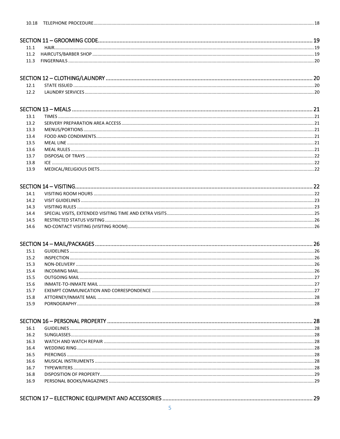| STATF ISSUED      | 20 |
|-------------------|----|
| LAUNDRY SERVICES. |    |

| 13.1 |  |
|------|--|
| 13.2 |  |
| 13.3 |  |
| 13.4 |  |
| 13.5 |  |
| 13.6 |  |
| 13.7 |  |
| 13.8 |  |
|      |  |

| 141  |  |
|------|--|
| 14.2 |  |
| 14.3 |  |
| 14.4 |  |
| 14.5 |  |
| 14.6 |  |

| 15.1 |  |
|------|--|
| 15.2 |  |
| 15.3 |  |
| 15.4 |  |
| 15.5 |  |
| 15.6 |  |
| 15.7 |  |
| 15.8 |  |
| 15.9 |  |

| 16.1 |  |
|------|--|
| 16.2 |  |
| 16.3 |  |
| 16.4 |  |
| 16.5 |  |
| 16.6 |  |
| 16.7 |  |
| 16.8 |  |
| 16.9 |  |
|      |  |

|--|--|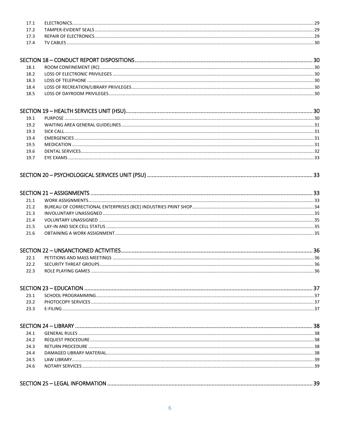|      | <b>FLECTRONICS</b> | рq |
|------|--------------------|----|
| 17.3 |                    |    |
| ۔ 17 |                    | วด |
| 174  | TV CABLES          |    |
|      |                    |    |

| 18.1 |  |
|------|--|
| 18.2 |  |
| 183  |  |
| 18.4 |  |
|      |  |

#### 19.1

| 19.2 |                  |  |
|------|------------------|--|
| 19.3 |                  |  |
| 19.4 |                  |  |
| 19.5 |                  |  |
| 19.6 |                  |  |
| 19.7 | <b>FYF FXAMS</b> |  |

### 

| 21 1        |  |
|-------------|--|
| 21.2        |  |
| 21 R        |  |
| 21 4        |  |
| 215         |  |
| <b>21 6</b> |  |
|             |  |

#### $23.1$  $23.2$ 23.3

| 24.1 |  |
|------|--|
| 24.2 |  |
| 24.3 |  |
| 24.4 |  |
| 24.5 |  |
| 24.6 |  |
|      |  |
|      |  |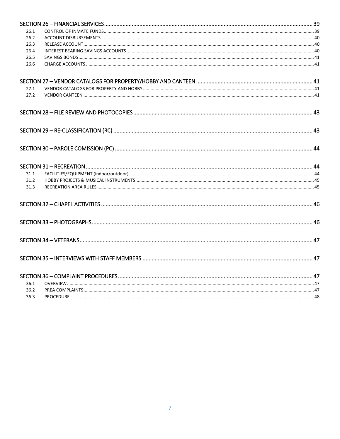| 26.1 |  |
|------|--|
| 26.2 |  |
| 26.3 |  |
| 26.4 |  |
| 26.5 |  |
| 26.6 |  |
|      |  |
| 27.1 |  |
| 27.2 |  |
|      |  |
|      |  |
|      |  |
|      |  |
| 31.1 |  |
| 31.2 |  |
| 31.3 |  |
|      |  |
|      |  |
|      |  |
|      |  |
|      |  |
| 36.1 |  |
| 36.2 |  |
| 36.3 |  |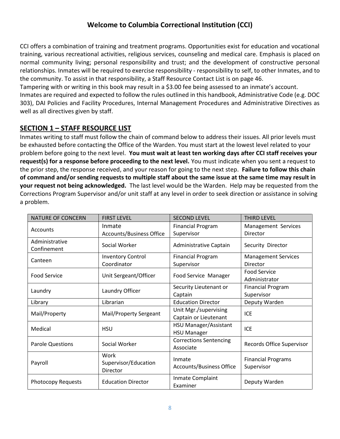### **Welcome to Columbia Correctional Institution (CCI)**

CCI offers a combination of training and treatment programs. Opportunities exist for education and vocational training, various recreational activities, religious services, counseling and medical care. Emphasis is placed on normal community living; personal responsibility and trust; and the development of constructive personal relationships. Inmates will be required to exercise responsibility - responsibility to self, to other Inmates, and to the community. To assist in that responsibility, a Staff Resource Contact List is on page 46.

Tampering with or writing in this book may result in a \$3.00 fee being assessed to an inmate's account.

Inmates are required and expected to follow the rules outlined in this handbook, Administrative Code (e.g. DOC 303), DAI Policies and Facility Procedures, Internal Management Procedures and Administrative Directives as well as all directives given by staff.

### <span id="page-7-0"></span>**SECTION 1 – STAFF RESOURCE LIST**

Inmates writing to staff must follow the chain of command below to address their issues. All prior levels must be exhausted before contacting the Office of the Warden. You must start at the lowest level related to your problem before going to the next level. **You must wait at least ten working days after CCI staff receives your request(s) for a response before proceeding to the next level.** You must indicate when you sent a request to the prior step, the response received, and your reason for going to the next step. **Failure to follow this chain of command and/or sending requests to multiple staff about the same issue at the same time may result in your request not being acknowledged.** The last level would be the Warden. Help may be requested from the Corrections Program Supervisor and/or unit staff at any level in order to seek direction or assistance in solving a problem.

| <b>NATURE OF CONCERN</b>  | <b>FIRST LEVEL</b>              | <b>SECOND LEVEL</b>           | <b>THIRD LEVEL</b>         |  |
|---------------------------|---------------------------------|-------------------------------|----------------------------|--|
| Accounts                  | Inmate                          | <b>Financial Program</b>      | Management Services        |  |
|                           | <b>Accounts/Business Office</b> | Supervisor                    | Director                   |  |
| Administrative            | Social Worker                   | Administrative Captain        | Security Director          |  |
| Confinement               |                                 |                               |                            |  |
| Canteen                   | <b>Inventory Control</b>        | <b>Financial Program</b>      | <b>Management Services</b> |  |
|                           | Coordinator                     | Supervisor                    | Director                   |  |
| <b>Food Service</b>       | Unit Sergeant/Officer           | Food Service Manager          | <b>Food Service</b>        |  |
|                           |                                 |                               | Administrator              |  |
| Laundry                   | Laundry Officer                 | Security Lieutenant or        | <b>Financial Program</b>   |  |
|                           |                                 | Captain                       | Supervisor                 |  |
| Library                   | Librarian                       | <b>Education Director</b>     | Deputy Warden              |  |
| Mail/Property             | Mail/Property Sergeant          | Unit Mgr./supervising         | <b>ICE</b>                 |  |
|                           |                                 | Captain or Lieutenant         |                            |  |
| Medical                   | <b>HSU</b>                      | HSU Manager/Assistant         | <b>ICE</b>                 |  |
|                           |                                 | <b>HSU Manager</b>            |                            |  |
| <b>Parole Questions</b>   | Social Worker                   | <b>Corrections Sentencing</b> | Records Office Supervisor  |  |
|                           |                                 | Associate                     |                            |  |
|                           | Work                            | Inmate                        | <b>Financial Programs</b>  |  |
| Payroll                   | Supervisor/Education            | Accounts/Business Office      | Supervisor                 |  |
|                           | Director                        |                               |                            |  |
| <b>Photocopy Requests</b> | <b>Education Director</b>       | Inmate Complaint              | Deputy Warden              |  |
|                           |                                 | Examiner                      |                            |  |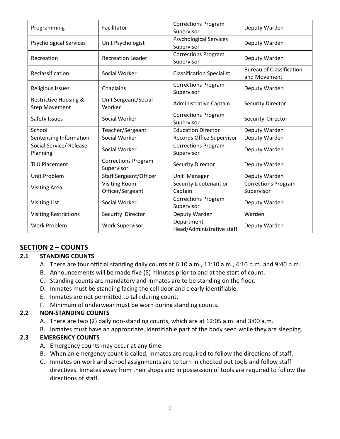| Programming                                              | Facilitator                              | <b>Corrections Program</b><br>Supervisor    | Deputy Warden                                   |
|----------------------------------------------------------|------------------------------------------|---------------------------------------------|-------------------------------------------------|
| <b>Psychological Services</b>                            | Unit Psychologist                        | <b>Psychological Services</b><br>Supervisor | Deputy Warden                                   |
| Recreation                                               | <b>Recreation Leader</b>                 | <b>Corrections Program</b><br>Supervisor    | Deputy Warden                                   |
| Reclassification                                         | Social Worker                            | <b>Classification Specialist</b>            | <b>Bureau of Classification</b><br>and Movement |
| Religious Issues                                         | Chaplains                                | <b>Corrections Program</b><br>Supervisor    | Deputy Warden                                   |
| <b>Restrictive Housing &amp;</b><br><b>Step Movement</b> | Unit Sergeant/Social<br>Worker           | Administrative Captain                      | <b>Security Director</b>                        |
| Safety Issues                                            | Social Worker                            | <b>Corrections Program</b><br>Supervisor    | Security Director                               |
| School                                                   | Teacher/Sergeant                         | <b>Education Director</b>                   | Deputy Warden                                   |
| Sentencing Information                                   | Social Worker                            | Records Office Supervisor                   | Deputy Warden                                   |
| Social Service/ Release<br>Planning                      | Social Worker                            | <b>Corrections Program</b><br>Supervisor    | Deputy Warden                                   |
| <b>TLU Placement</b>                                     | <b>Corrections Program</b><br>Supervisor | <b>Security Director</b>                    | Deputy Warden                                   |
| Unit Problem                                             | <b>Staff Sergeant/Officer</b>            | Unit Manager                                | Deputy Warden                                   |
| <b>Visiting Area</b>                                     | <b>Visiting Room</b><br>Officer/Sergeant | Security Lieutenant or<br>Captain           | <b>Corrections Program</b><br>Supervisor        |
| <b>Visiting List</b>                                     | Social Worker                            | <b>Corrections Program</b><br>Supervisor    | Deputy Warden                                   |
| <b>Visiting Restrictions</b>                             | Security Director                        | Deputy Warden                               | Warden                                          |
| <b>Work Problem</b>                                      | <b>Work Supervisor</b>                   | Department<br>Head/Administrative staff     | Deputy Warden                                   |

### <span id="page-8-0"></span>**SECTION 2 – COUNTS**

#### <span id="page-8-1"></span>**2.1 STANDING COUNTS**

- A. There are four official standing daily counts at 6:10 a.m., 11:10 a.m., 4:10 p.m. and 9:40 p.m.
- B. Announcements will be made five (5) minutes prior to and at the start of count.
- C. Standing counts are mandatory and Inmates are to be standing on the floor.
- D. Inmates must be standing facing the cell door and clearly identifiable.
- E. Inmates are not permitted to talk during count.
- F. Minimum of underwear must be worn during standing counts.

#### <span id="page-8-2"></span>**2.2 NON-STANDING COUNTS**

- A. There are two (2) daily non-standing counts, which are at 12:05 a.m. and 3:00 a.m.
- B. Inmates must have an appropriate, identifiable part of the body seen while they are sleeping.

#### <span id="page-8-3"></span>**2.3 EMERGENCY COUNTS**

- A. Emergency counts may occur at any time.
- B. When an emergency count is called, Inmates are required to follow the directions of staff.
- C. Inmates on work and school assignments are to turn in checked out tools and follow staff directives. Inmates away from their shops and in possession of tools are required to follow the directions of staff.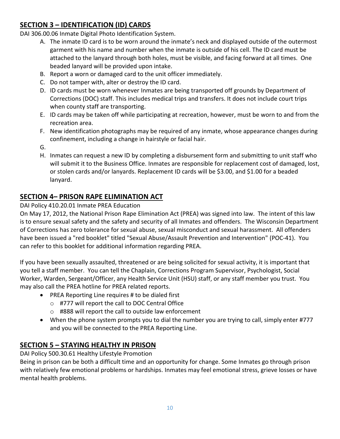### <span id="page-9-0"></span>**SECTION 3 – IDENTIFICATION (ID) CARDS**

DAI 306.00.06 Inmate Digital Photo Identification System.

- A. The inmate ID card is to be worn around the inmate's neck and displayed outside of the outermost garment with his name and number when the inmate is outside of his cell. The ID card must be attached to the lanyard through both holes, must be visible, and facing forward at all times. One beaded lanyard will be provided upon intake.
- B. Report a worn or damaged card to the unit officer immediately.
- C. Do not tamper with, alter or destroy the ID card.
- D. ID cards must be worn whenever Inmates are being transported off grounds by Department of Corrections (DOC) staff. This includes medical trips and transfers. It does not include court trips when county staff are transporting.
- E. ID cards may be taken off while participating at recreation, however, must be worn to and from the recreation area.
- F. New identification photographs may be required of any inmate, whose appearance changes during confinement, including a change in hairstyle or facial hair.
- G.
- H. Inmates can request a new ID by completing a disbursement form and submitting to unit staff who will submit it to the Business Office. Inmates are responsible for replacement cost of damaged, lost, or stolen cards and/or lanyards. Replacement ID cards will be \$3.00, and \$1.00 for a beaded lanyard.

### <span id="page-9-1"></span>**SECTION 4– PRISON RAPE ELIMINATION ACT**

#### DAI Policy 410.20.01 Inmate PREA Education

On May 17, 2012, the National Prison Rape Elimination Act (PREA) was signed into law. The intent of this law is to ensure sexual safety and the safety and security of all Inmates and offenders. The Wisconsin Department of Corrections has zero tolerance for sexual abuse, sexual misconduct and sexual harassment. All offenders have been issued a "red booklet" titled "Sexual Abuse/Assault Prevention and Intervention" (POC-41). You can refer to this booklet for additional information regarding PREA.

If you have been sexually assaulted, threatened or are being solicited for sexual activity, it is important that you tell a staff member. You can tell the Chaplain, Corrections Program Supervisor, Psychologist, Social Worker, Warden, Sergeant/Officer, any Health Service Unit (HSU) staff, or any staff member you trust. You may also call the PREA hotline for PREA related reports.

- PREA Reporting Line requires # to be dialed first
	- o #777 will report the call to DOC Central Office
	- o #888 will report the call to outside law enforcement
- When the phone system prompts you to dial the number you are trying to call, simply enter #777 and you will be connected to the PREA Reporting Line.

### <span id="page-9-2"></span>**SECTION 5 – STAYING HEALTHY IN PRISON**

DAI Policy 500.30.61 Healthy Lifestyle Promotion

Being in prison can be both a difficult time and an opportunity for change. Some Inmates go through prison with relatively few emotional problems or hardships. Inmates may feel emotional stress, grieve losses or have mental health problems.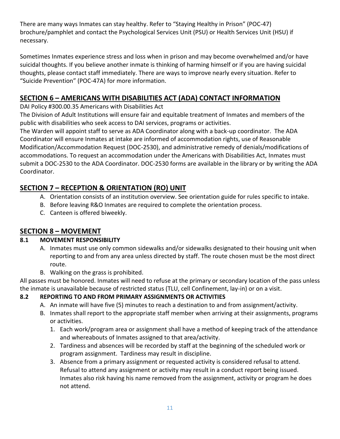There are many ways Inmates can stay healthy. Refer to "Staying Healthy in Prison" (POC-47) brochure/pamphlet and contact the Psychological Services Unit (PSU) or Health Services Unit (HSU) if necessary.

Sometimes Inmates experience stress and loss when in prison and may become overwhelmed and/or have suicidal thoughts. If you believe another inmate is thinking of harming himself or if you are having suicidal thoughts, please contact staff immediately. There are ways to improve nearly every situation. Refer to "Suicide Prevention" (POC-47A) for more information.

### <span id="page-10-0"></span>**SECTION 6 – AMERICANS WITH DISABILITIES ACT (ADA) CONTACT INFORMATION**

DAI Policy #300.00.35 Americans with Disabilities Act

The Division of Adult Institutions will ensure fair and equitable treatment of Inmates and members of the public with disabilities who seek access to DAI services, programs or activities.

The Warden will appoint staff to serve as ADA Coordinator along with a back-up coordinator. The ADA Coordinator will ensure Inmates at intake are informed of accommodation rights, use of Reasonable Modification/Accommodation Request (DOC-2530), and administrative remedy of denials/modifications of accommodations. To request an accommodation under the Americans with Disabilities Act, Inmates must submit a DOC-2530 to the ADA Coordinator. DOC-2530 forms are available in the library or by writing the ADA Coordinator.

# <span id="page-10-1"></span>**SECTION 7 – RECEPTION & ORIENTATION (RO) UNIT**

- A. Orientation consists of an institution overview. See orientation guide for rules specific to intake.
- B. Before leaving R&O Inmates are required to complete the orientation process.
- C. Canteen is offered biweekly.

### <span id="page-10-2"></span>**SECTION 8 – MOVEMENT**

### <span id="page-10-3"></span>**8.1 MOVEMENT RESPONSIBILITY**

- A. Inmates must use only common sidewalks and/or sidewalks designated to their housing unit when reporting to and from any area unless directed by staff. The route chosen must be the most direct route.
- B. Walking on the grass is prohibited.

All passes must be honored. Inmates will need to refuse at the primary or secondary location of the pass unless the inmate is unavailable because of restricted status (TLU, cell Confinement, lay-in) or on a visit.

### <span id="page-10-4"></span>**8.2 REPORTING TO AND FROM PRIMARY ASSIGNMENTS OR ACTIVITIES**

- A. An inmate will have five (5) minutes to reach a destination to and from assignment/activity.
- B. Inmates shall report to the appropriate staff member when arriving at their assignments, programs or activities.
	- 1. Each work/program area or assignment shall have a method of keeping track of the attendance and whereabouts of Inmates assigned to that area/activity.
	- 2. Tardiness and absences will be recorded by staff at the beginning of the scheduled work or program assignment. Tardiness may result in discipline.
	- 3. Absence from a primary assignment or requested activity is considered refusal to attend. Refusal to attend any assignment or activity may result in a conduct report being issued. Inmates also risk having his name removed from the assignment, activity or program he does not attend.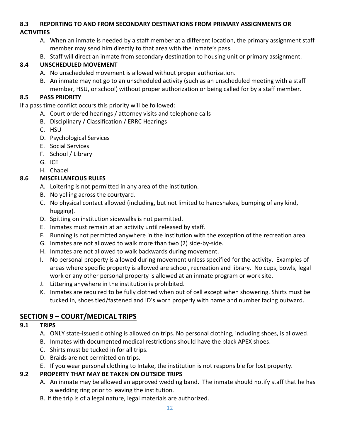#### <span id="page-11-0"></span>**8.3 REPORTING TO AND FROM SECONDARY DESTINATIONS FROM PRIMARY ASSIGNMENTS OR**

### **ACTIVITIES**

- A. When an inmate is needed by a staff member at a different location, the primary assignment staff member may send him directly to that area with the inmate's pass.
- B. Staff will direct an inmate from secondary destination to housing unit or primary assignment.

### <span id="page-11-1"></span>**8.4 UNSCHEDULED MOVEMENT**

- A. No unscheduled movement is allowed without proper authorization.
- B. An inmate may not go to an unscheduled activity (such as an unscheduled meeting with a staff member, HSU, or school) without proper authorization or being called for by a staff member.

### <span id="page-11-2"></span>**8.5 PASS PRIORITY**

If a pass time conflict occurs this priority will be followed:

- A. Court ordered hearings / attorney visits and telephone calls
- B. Disciplinary / Classification / ERRC Hearings
- C. HSU
- D. Psychological Services
- E. Social Services
- F. School / Library
- G. ICE
- H. Chapel

### <span id="page-11-3"></span>**8.6 MISCELLANEOUS RULES**

- A. Loitering is not permitted in any area of the institution.
- B. No yelling across the courtyard.
- C. No physical contact allowed (including, but not limited to handshakes, bumping of any kind, hugging).
- D. Spitting on institution sidewalks is not permitted.
- E. Inmates must remain at an activity until released by staff.
- F. Running is not permitted anywhere in the institution with the exception of the recreation area.
- G. Inmates are not allowed to walk more than two (2) side-by-side.
- H. Inmates are not allowed to walk backwards during movement.
- I. No personal property is allowed during movement unless specified for the activity. Examples of areas where specific property is allowed are school, recreation and library. No cups, bowls, legal work or any other personal property is allowed at an inmate program or work site.
- J. Littering anywhere in the institution is prohibited.
- K. Inmates are required to be fully clothed when out of cell except when showering. Shirts must be tucked in, shoes tied/fastened and ID's worn properly with name and number facing outward.

# <span id="page-11-4"></span>**SECTION 9 – COURT/MEDICAL TRIPS**

#### <span id="page-11-5"></span>**9.1 TRIPS**

- A. ONLY state-issued clothing is allowed on trips. No personal clothing, including shoes, is allowed.
- B. Inmates with documented medical restrictions should have the black APEX shoes.
- C. Shirts must be tucked in for all trips.
- D. Braids are not permitted on trips.
- E. If you wear personal clothing to Intake, the institution is not responsible for lost property.

### <span id="page-11-6"></span>**9.2 PROPERTY THAT MAY BE TAKEN ON OUTSIDE TRIPS**

- A. An inmate may be allowed an approved wedding band. The inmate should notify staff that he has a wedding ring prior to leaving the institution.
- B. If the trip is of a legal nature, legal materials are authorized.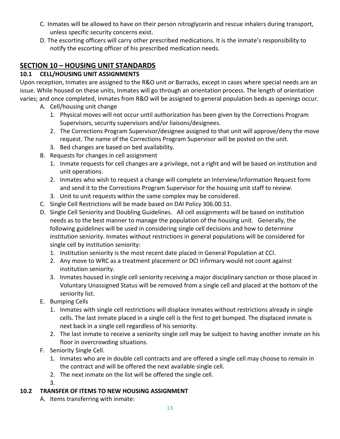- C. Inmates will be allowed to have on their person nitroglycerin and rescue inhalers during transport, unless specific security concerns exist.
- D. The escorting officers will carry other prescribed medications. It is the inmate's responsibility to notify the escorting officer of his prescribed medication needs.

### <span id="page-12-0"></span>**SECTION 10 – HOUSING UNIT STANDARDS**

### <span id="page-12-1"></span>**10.1 CELL/HOUSING UNIT ASSIGNMENTS**

Upon reception, Inmates are assigned to the R&O unit or Barracks, except in cases where special needs are an issue. While housed on these units, Inmates will go through an orientation process. The length of orientation varies; and once completed, Inmates from R&O will be assigned to general population beds as openings occur.

- A. Cell/housing unit change
	- 1. Physical moves will not occur until authorization has been given by the Corrections Program Supervisors, security supervisors and/or liaisons/designees.
	- 2. The Corrections Program Supervisor/designee assigned to that unit will approve/deny the move request. The name of the Corrections Program Supervisor will be posted on the unit.
	- 3. Bed changes are based on bed availability.
- B. Requests for changes in cell assignment
	- 1. Inmate requests for cell changes are a privilege, not a right and will be based on institution and unit operations.
	- 2. Inmates who wish to request a change will complete an Interview/Information Request form and send it to the Corrections Program Supervisor for the housing unit staff to review.
	- 3. Unit to unit requests within the same complex may be considered.
- C. Single Cell Restrictions will be made based on DAI Policy 306.00.51.
- D. Single Cell Seniority and Doubling Guidelines. All cell assignments will be based on institution needs as to the best manner to manage the population of the housing unit. Generally, the following guidelines will be used in considering single cell decisions and how to determine institution seniority. Inmates without restrictions in general populations will be considered for single cell by institution seniority:
	- 1. Institution seniority is the most recent date placed in General Population at CCI.
	- 2. Any move to WRC as a treatment placement or DCI infirmary would not count against institution seniority.
	- 3. Inmates housed in single cell seniority receiving a major disciplinary sanction or those placed in Voluntary Unassigned Status will be removed from a single cell and placed at the bottom of the seniority list.
- E. Bumping Cells
	- 1. Inmates with single cell restrictions will displace Inmates without restrictions already in single cells. The last inmate placed in a single cell is the first to get bumped. The displaced inmate is next back in a single cell regardless of his seniority.
	- 2. The last inmate to receive a seniority single cell may be subject to having another inmate on his floor in overcrowding situations.
- F. Seniority Single Cell.
	- 1. Inmates who are in double cell contracts and are offered a single cell may choose to remain in the contract and will be offered the next available single cell.
	- 2. The next inmate on the list will be offered the single cell.

3.

# <span id="page-12-2"></span>**10.2 TRANSFER OF ITEMS TO NEW HOUSING ASSIGNMENT**

A. Items transferring with inmate: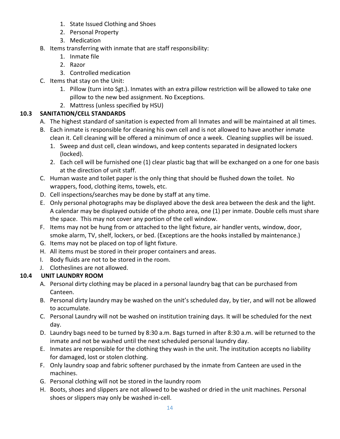- 1. State Issued Clothing and Shoes
- 2. Personal Property
- 3. Medication
- B. Items transferring with inmate that are staff responsibility:
	- 1. Inmate file
	- 2. Razor
	- 3. Controlled medication
- C. Items that stay on the Unit:
	- 1. Pillow (turn into Sgt.). Inmates with an extra pillow restriction will be allowed to take one pillow to the new bed assignment. No Exceptions.
	- 2. Mattress (unless specified by HSU)

### <span id="page-13-0"></span>**10.3 SANITATION/CELL STANDARDS**

- A. The highest standard of sanitation is expected from all Inmates and will be maintained at all times.
- B. Each inmate is responsible for cleaning his own cell and is not allowed to have another inmate clean it. Cell cleaning will be offered a minimum of once a week. Cleaning supplies will be issued.
	- 1. Sweep and dust cell, clean windows, and keep contents separated in designated lockers (locked).
	- 2. Each cell will be furnished one (1) clear plastic bag that will be exchanged on a one for one basis at the direction of unit staff.
- C. Human waste and toilet paper is the only thing that should be flushed down the toilet. No wrappers, food, clothing items, towels, etc.
- D. Cell inspections/searches may be done by staff at any time.
- E. Only personal photographs may be displayed above the desk area between the desk and the light. A calendar may be displayed outside of the photo area, one (1) per inmate. Double cells must share the space. This may not cover any portion of the cell window.
- F. Items may not be hung from or attached to the light fixture, air handler vents, window, door, smoke alarm, TV, shelf, lockers, or bed. (Exceptions are the hooks installed by maintenance.)
- G. Items may not be placed on top of light fixture.
- H. All items must be stored in their proper containers and areas.
- I. Body fluids are not to be stored in the room.
- J. Clotheslines are not allowed.

### <span id="page-13-1"></span>**10.4 UNIT LAUNDRY ROOM**

- A. Personal dirty clothing may be placed in a personal laundry bag that can be purchased from Canteen.
- B. Personal dirty laundry may be washed on the unit's scheduled day, by tier, and will not be allowed to accumulate.
- C. Personal Laundry will not be washed on institution training days. It will be scheduled for the next day.
- D. Laundry bags need to be turned by 8:30 a.m. Bags turned in after 8:30 a.m. will be returned to the inmate and not be washed until the next scheduled personal laundry day.
- E. Inmates are responsible for the clothing they wash in the unit. The institution accepts no liability for damaged, lost or stolen clothing.
- F. Only laundry soap and fabric softener purchased by the inmate from Canteen are used in the machines.
- G. Personal clothing will not be stored in the laundry room
- H. Boots, shoes and slippers are not allowed to be washed or dried in the unit machines. Personal shoes or slippers may only be washed in-cell.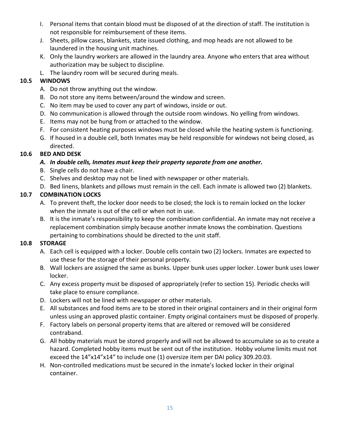- I. Personal items that contain blood must be disposed of at the direction of staff. The institution is not responsible for reimbursement of these items.
- J. Sheets, pillow cases, blankets, state issued clothing, and mop heads are not allowed to be laundered in the housing unit machines.
- K. Only the laundry workers are allowed in the laundry area. Anyone who enters that area without authorization may be subject to discipline.
- L. The laundry room will be secured during meals.

### <span id="page-14-0"></span>**10.5 WINDOWS**

- A. Do not throw anything out the window.
- B. Do not store any items between/around the window and screen.
- C. No item may be used to cover any part of windows, inside or out.
- D. No communication is allowed through the outside room windows. No yelling from windows.
- E. Items may not be hung from or attached to the window.
- F. For consistent heating purposes windows must be closed while the heating system is functioning.
- G. If housed in a double cell, both Inmates may be held responsible for windows not being closed, as directed.

### <span id="page-14-1"></span>**10.6 BED AND DESK**

### *A. In double cells, Inmates must keep their property separate from one another.*

- B. Single cells do not have a chair.
- C. Shelves and desktop may not be lined with newspaper or other materials.
- D. Bed linens, blankets and pillows must remain in the cell. Each inmate is allowed two (2) blankets.

### <span id="page-14-2"></span>**10.7 COMBINATION LOCKS**

- A. To prevent theft, the locker door needs to be closed; the lock is to remain locked on the locker when the inmate is out of the cell or when not in use.
- B. It is the inmate's responsibility to keep the combination confidential. An inmate may not receive a replacement combination simply because another inmate knows the combination. Questions pertaining to combinations should be directed to the unit staff.

#### <span id="page-14-3"></span>**10.8 STORAGE**

- A. Each cell is equipped with a locker. Double cells contain two (2) lockers. Inmates are expected to use these for the storage of their personal property.
- B. Wall lockers are assigned the same as bunks. Upper bunk uses upper locker. Lower bunk uses lower locker.
- C. Any excess property must be disposed of appropriately (refer to section 15). Periodic checks will take place to ensure compliance.
- D. Lockers will not be lined with newspaper or other materials.
- E. All substances and food items are to be stored in their original containers and in their original form unless using an approved plastic container. Empty original containers must be disposed of properly.
- F. Factory labels on personal property items that are altered or removed will be considered contraband.
- G. All hobby materials must be stored properly and will not be allowed to accumulate so as to create a hazard. Completed hobby items must be sent out of the institution. Hobby volume limits must not exceed the 14"x14"x14" to include one (1) oversize item per DAI policy 309.20.03.
- H. Non-controlled medications must be secured in the inmate's locked locker in their original container.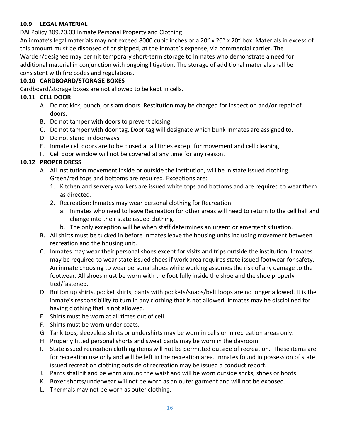#### <span id="page-15-0"></span>**10.9 LEGAL MATERIAL**

DAI Policy 309.20.03 Inmate Personal Property and Clothing

An inmate's legal materials may not exceed 8000 cubic inches or a 20" x 20" x 20" box. Materials in excess of this amount must be disposed of or shipped, at the inmate's expense, via commercial carrier. The Warden/designee may permit temporary short-term storage to Inmates who demonstrate a need for additional material in conjunction with ongoing litigation. The storage of additional materials shall be consistent with fire codes and regulations.

#### <span id="page-15-1"></span>**10.10 CARDBOARD/STORAGE BOXES**

Cardboard/storage boxes are not allowed to be kept in cells.

#### <span id="page-15-2"></span>**10.11 CELL DOOR**

- A. Do not kick, punch, or slam doors. Restitution may be charged for inspection and/or repair of doors.
- B. Do not tamper with doors to prevent closing.
- C. Do not tamper with door tag. Door tag will designate which bunk Inmates are assigned to.
- D. Do not stand in doorways.
- E. Inmate cell doors are to be closed at all times except for movement and cell cleaning.
- F. Cell door window will not be covered at any time for any reason.

#### <span id="page-15-3"></span>**10.12 PROPER DRESS**

- A. All institution movement inside or outside the institution, will be in state issued clothing. Green/red tops and bottoms are required. Exceptions are:
	- 1. Kitchen and servery workers are issued white tops and bottoms and are required to wear them as directed.
	- 2. Recreation: Inmates may wear personal clothing for Recreation.
		- a. Inmates who need to leave Recreation for other areas will need to return to the cell hall and change into their state issued clothing.
		- b. The only exception will be when staff determines an urgent or emergent situation.
- B. All shirts must be tucked in before Inmates leave the housing units including movement between recreation and the housing unit.
- C. Inmates may wear their personal shoes except for visits and trips outside the institution. Inmates may be required to wear state issued shoes if work area requires state issued footwear for safety. An inmate choosing to wear personal shoes while working assumes the risk of any damage to the footwear. All shoes must be worn with the foot fully inside the shoe and the shoe properly tied/fastened.
- D. Button up shirts, pocket shirts, pants with pockets/snaps/belt loops are no longer allowed. It is the inmate's responsibility to turn in any clothing that is not allowed. Inmates may be disciplined for having clothing that is not allowed.
- E. Shirts must be worn at all times out of cell.
- F. Shirts must be worn under coats.
- G. Tank tops, sleeveless shirts or undershirts may be worn in cells or in recreation areas only.
- H. Properly fitted personal shorts and sweat pants may be worn in the dayroom.
- I. State issued recreation clothing items will not be permitted outside of recreation. These items are for recreation use only and will be left in the recreation area. Inmates found in possession of state issued recreation clothing outside of recreation may be issued a conduct report.
- J. Pants shall fit and be worn around the waist and will be worn outside socks, shoes or boots.
- K. Boxer shorts/underwear will not be worn as an outer garment and will not be exposed.
- L. Thermals may not be worn as outer clothing.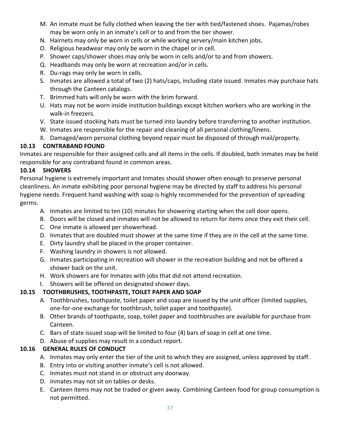- M. An inmate must be fully clothed when leaving the tier with tied/fastened shoes. Pajamas/robes may be worn only in an inmate's cell or to and from the tier shower.
- N. Hairnets may only be worn in cells or while working servery/main kitchen jobs.
- O. Religious headwear may only be worn in the chapel or in cell.
- P. Shower caps/shower shoes may only be worn in cells and/or to and from showers.
- Q. Headbands may only be worn at recreation and/or in cells.
- R. Du-rags may only be worn in cells.
- S. Inmates are allowed a total of two (2) hats/caps, including state issued. Inmates may purchase hats through the Canteen catalogs.
- T. Brimmed hats will only be worn with the brim forward.
- U. Hats may not be worn inside institution buildings except kitchen workers who are working in the walk-in freezers.
- V. State issued stocking hats must be turned into laundry before transferring to another institution.
- W. Inmates are responsible for the repair and cleaning of all personal clothing/linens.
- X. Damaged/worn personal clothing beyond repair must be disposed of through mail/property.

#### <span id="page-16-0"></span>**10.13 CONTRABAND FOUND**

Inmates are responsible for their assigned cells and all items in the cells. If doubled, both inmates may be held responsible for any contraband found in common areas.

#### <span id="page-16-1"></span>**10.14 SHOWERS**

Personal hygiene is extremely important and Inmates should shower often enough to preserve personal cleanliness. An inmate exhibiting poor personal hygiene may be directed by staff to address his personal hygiene needs. Frequent hand washing with soap is highly recommended for the prevention of spreading germs.

- A. Inmates are limited to ten (10) minutes for showering starting when the cell door opens.
- B. Doors will be closed and inmates will not be allowed to return for items once they exit their cell.
- C. One inmate is allowed per showerhead.
- D. Inmates that are doubled must shower at the same time if they are in the cell at the same time.
- E. Dirty laundry shall be placed in the proper container.
- F. Washing laundry in showers is not allowed.
- G. Inmates participating in recreation will shower in the recreation building and not be offered a shower back on the unit.
- H. Work showers are for Inmates with jobs that did not attend recreation.
- I. Showers will be offered on designated shower days.

#### <span id="page-16-2"></span>**10.15 TOOTHBRUSHES, TOOTHPASTE, TOILET PAPER AND SOAP**

- A. Toothbrushes, toothpaste, toilet paper and soap are issued by the unit officer (limited supplies, one-for-one exchange for toothbrush, toilet paper and toothpaste).
- B. Other brands of toothpaste, soap, toilet paper and toothbrushes are available for purchase from Canteen.
- C. Bars of state issued soap will be limited to four (4) bars of soap in cell at one time.
- D. Abuse of supplies may result in a conduct report.

#### <span id="page-16-3"></span>**10.16 GENERAL RULES OF CONDUCT**

- A. Inmates may only enter the tier of the unit to which they are assigned, unless approved by staff.
- B. Entry into or visiting another inmate's cell is not allowed.
- C. Inmates must not stand in or obstruct any doorway.
- D. Inmates may not sit on tables or desks.
- E. Canteen items may not be traded or given away. Combining Canteen food for group consumption is not permitted.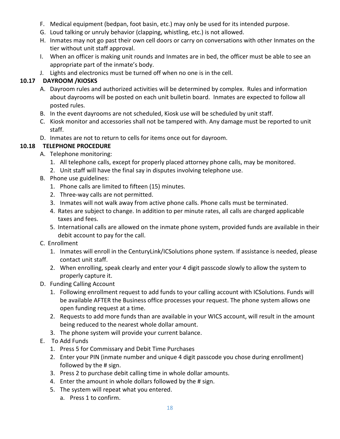- F. Medical equipment (bedpan, foot basin, etc.) may only be used for its intended purpose.
- G. Loud talking or unruly behavior (clapping, whistling, etc.) is not allowed.
- H. Inmates may not go past their own cell doors or carry on conversations with other Inmates on the tier without unit staff approval.
- I. When an officer is making unit rounds and Inmates are in bed, the officer must be able to see an appropriate part of the inmate's body.
- J. Lights and electronics must be turned off when no one is in the cell.

#### <span id="page-17-0"></span>**10.17 DAYROOM /KIOSKS**

- A. Dayroom rules and authorized activities will be determined by complex. Rules and information about dayrooms will be posted on each unit bulletin board. Inmates are expected to follow all posted rules.
- B. In the event dayrooms are not scheduled, Kiosk use will be scheduled by unit staff.
- C. Kiosk monitor and accessories shall not be tampered with. Any damage must be reported to unit staff.
- D. Inmates are not to return to cells for items once out for dayroom.

#### <span id="page-17-1"></span>**10.18 TELEPHONE PROCEDURE**

- A. Telephone monitoring:
	- 1. All telephone calls, except for properly placed attorney phone calls, may be monitored.
	- 2. Unit staff will have the final say in disputes involving telephone use.
- B. Phone use guidelines:
	- 1. Phone calls are limited to fifteen (15) minutes.
	- 2. Three-way calls are not permitted.
	- 3. Inmates will not walk away from active phone calls. Phone calls must be terminated.
	- 4. Rates are subject to change. In addition to per minute rates, all calls are charged applicable taxes and fees.
	- 5. International calls are allowed on the inmate phone system, provided funds are available in their debit account to pay for the call.
- C. Enrollment
	- 1. Inmates will enroll in the CenturyLink/ICSolutions phone system. If assistance is needed, please contact unit staff.
	- 2. When enrolling, speak clearly and enter your 4 digit passcode slowly to allow the system to properly capture it.
- D. Funding Calling Account
	- 1. Following enrollment request to add funds to your calling account with ICSolutions. Funds will be available AFTER the Business office processes your request. The phone system allows one open funding request at a time.
	- 2. Requests to add more funds than are available in your WICS account, will result in the amount being reduced to the nearest whole dollar amount.
	- 3. The phone system will provide your current balance.
- E. To Add Funds
	- 1. Press 5 for Commissary and Debit Time Purchases
	- 2. Enter your PIN (inmate number and unique 4 digit passcode you chose during enrollment) followed by the # sign.
	- 3. Press 2 to purchase debit calling time in whole dollar amounts.
	- 4. Enter the amount in whole dollars followed by the # sign.
	- 5. The system will repeat what you entered.
		- a. Press 1 to confirm.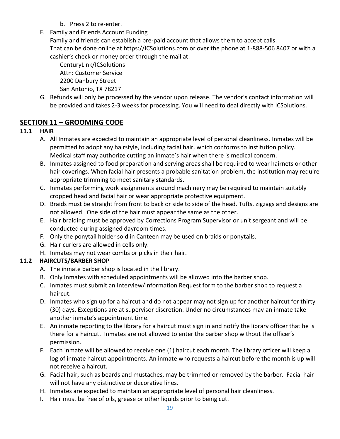- b. Press 2 to re-enter.
- F. Family and Friends Account Funding

Family and friends can establish a pre-paid account that allows them to accept calls. That can be done online at https://ICSolutions.com or over the phone at 1-888-506 8407 or with a cashier's check or money order through the mail at:

CenturyLink/ICSolutions Attn: Customer Service 2200 Danbury Street San Antonio, TX 78217

G. Refunds will only be processed by the vendor upon release. The vendor's contact information will be provided and takes 2-3 weeks for processing. You will need to deal directly with ICSolutions.

### <span id="page-18-0"></span>**SECTION 11 – GROOMING CODE**

#### <span id="page-18-1"></span>**11.1 HAIR**

- A. All Inmates are expected to maintain an appropriate level of personal cleanliness. Inmates will be permitted to adopt any hairstyle, including facial hair, which conforms to institution policy. Medical staff may authorize cutting an inmate's hair when there is medical concern.
- B. Inmates assigned to food preparation and serving areas shall be required to wear hairnets or other hair coverings. When facial hair presents a probable sanitation problem, the institution may require appropriate trimming to meet sanitary standards.
- C. Inmates performing work assignments around machinery may be required to maintain suitably cropped head and facial hair or wear appropriate protective equipment.
- D. Braids must be straight from front to back or side to side of the head. Tufts, zigzags and designs are not allowed. One side of the hair must appear the same as the other.
- E. Hair braiding must be approved by Corrections Program Supervisor or unit sergeant and will be conducted during assigned dayroom times.
- F. Only the ponytail holder sold in Canteen may be used on braids or ponytails.
- G. Hair curlers are allowed in cells only.
- H. Inmates may not wear combs or picks in their hair.

#### <span id="page-18-2"></span>**11.2 HAIRCUTS/BARBER SHOP**

- A. The inmate barber shop is located in the library.
- B. Only Inmates with scheduled appointments will be allowed into the barber shop.
- C. Inmates must submit an Interview/Information Request form to the barber shop to request a haircut.
- D. Inmates who sign up for a haircut and do not appear may not sign up for another haircut for thirty (30) days. Exceptions are at supervisor discretion. Under no circumstances may an inmate take another inmate's appointment time.
- E. An inmate reporting to the library for a haircut must sign in and notify the library officer that he is there for a haircut. Inmates are not allowed to enter the barber shop without the officer's permission.
- F. Each inmate will be allowed to receive one (1) haircut each month. The library officer will keep a log of inmate haircut appointments. An inmate who requests a haircut before the month is up will not receive a haircut.
- G. Facial hair, such as beards and mustaches, may be trimmed or removed by the barber. Facial hair will not have any distinctive or decorative lines.
- H. Inmates are expected to maintain an appropriate level of personal hair cleanliness.
- I. Hair must be free of oils, grease or other liquids prior to being cut.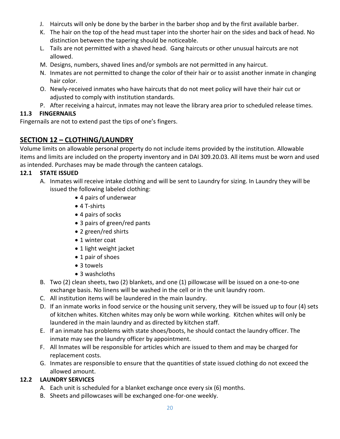- J. Haircuts will only be done by the barber in the barber shop and by the first available barber.
- K. The hair on the top of the head must taper into the shorter hair on the sides and back of head. No distinction between the tapering should be noticeable.
- L. Tails are not permitted with a shaved head. Gang haircuts or other unusual haircuts are not allowed.
- M. Designs, numbers, shaved lines and/or symbols are not permitted in any haircut.
- N. Inmates are not permitted to change the color of their hair or to assist another inmate in changing hair color.
- O. Newly-received inmates who have haircuts that do not meet policy will have their hair cut or adjusted to comply with institution standards.
- P. After receiving a haircut, inmates may not leave the library area prior to scheduled release times.

### <span id="page-19-0"></span>**11.3 FINGERNAILS**

Fingernails are not to extend past the tips of one's fingers.

### <span id="page-19-1"></span>**SECTION 12 – CLOTHING/LAUNDRY**

Volume limits on allowable personal property do not include items provided by the institution. Allowable items and limits are included on the property inventory and in DAI 309.20.03. All items must be worn and used as intended. Purchases may be made through the canteen catalogs.

### <span id="page-19-2"></span>**12.1 STATE ISSUED**

- A. Inmates will receive intake clothing and will be sent to Laundry for sizing. In Laundry they will be issued the following labeled clothing:
	- 4 pairs of underwear
	- 4 T-shirts
	- 4 pairs of socks
	- 3 pairs of green/red pants
	- 2 green/red shirts
	- 1 winter coat
	- 1 light weight jacket
	- 1 pair of shoes
	- 3 towels
	- 3 washcloths
- B. Two (2) clean sheets, two (2) blankets, and one (1) pillowcase will be issued on a one-to-one exchange basis. No linens will be washed in the cell or in the unit laundry room.
- C. All institution items will be laundered in the main laundry.
- D. If an inmate works in food service or the housing unit servery, they will be issued up to four (4) sets of kitchen whites. Kitchen whites may only be worn while working. Kitchen whites will only be laundered in the main laundry and as directed by kitchen staff.
- E. If an inmate has problems with state shoes/boots, he should contact the laundry officer. The inmate may see the laundry officer by appointment.
- F. All Inmates will be responsible for articles which are issued to them and may be charged for replacement costs.
- G. Inmates are responsible to ensure that the quantities of state issued clothing do not exceed the allowed amount.

### <span id="page-19-3"></span>**12.2 LAUNDRY SERVICES**

- A. Each unit is scheduled for a blanket exchange once every six (6) months.
- B. Sheets and pillowcases will be exchanged one-for-one weekly.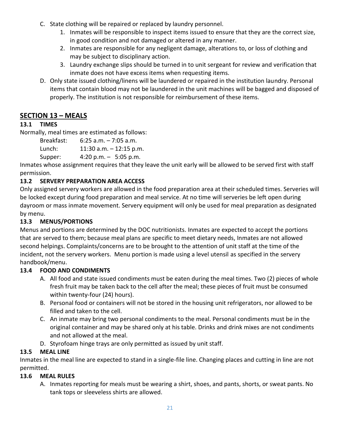- C. State clothing will be repaired or replaced by laundry personnel.
	- 1. Inmates will be responsible to inspect items issued to ensure that they are the correct size, in good condition and not damaged or altered in any manner.
	- 2. Inmates are responsible for any negligent damage, alterations to, or loss of clothing and may be subject to disciplinary action.
	- 3. Laundry exchange slips should be turned in to unit sergeant for review and verification that inmate does not have excess items when requesting items.
- D. Only state issued clothing/linens will be laundered or repaired in the institution laundry. Personal items that contain blood may not be laundered in the unit machines will be bagged and disposed of properly. The institution is not responsible for reimbursement of these items.

### <span id="page-20-0"></span>**SECTION 13 – MEALS**

### <span id="page-20-1"></span>**13.1 TIMES**

Normally, meal times are estimated as follows:

Breakfast: 6:25 a.m. – 7:05 a.m. Lunch: 11:30 a.m. – 12:15 p.m.

Supper: 4:20 p.m. – 5:05 p.m.

Inmates whose assignment requires that they leave the unit early will be allowed to be served first with staff permission.

### <span id="page-20-2"></span>**13.2 SERVERY PREPARATION AREA ACCESS**

Only assigned servery workers are allowed in the food preparation area at their scheduled times. Serveries will be locked except during food preparation and meal service. At no time will serveries be left open during dayroom or mass inmate movement. Servery equipment will only be used for meal preparation as designated by menu.

### <span id="page-20-3"></span>**13.3 MENUS/PORTIONS**

Menus and portions are determined by the DOC nutritionists. Inmates are expected to accept the portions that are served to them; because meal plans are specific to meet dietary needs, Inmates are not allowed second helpings. Complaints/concerns are to be brought to the attention of unit staff at the time of the incident, not the servery workers. Menu portion is made using a level utensil as specified in the servery handbook/menu.

#### <span id="page-20-4"></span>**13.4 FOOD AND CONDIMENTS**

- A. All food and state issued condiments must be eaten during the meal times. Two (2) pieces of whole fresh fruit may be taken back to the cell after the meal; these pieces of fruit must be consumed within twenty-four (24) hours).
- B. Personal food or containers will not be stored in the housing unit refrigerators, nor allowed to be filled and taken to the cell.
- C. An inmate may bring two personal condiments to the meal. Personal condiments must be in the original container and may be shared only at his table. Drinks and drink mixes are not condiments and not allowed at the meal.
- D. Styrofoam hinge trays are only permitted as issued by unit staff.

### <span id="page-20-5"></span>**13.5 MEAL LINE**

Inmates in the meal line are expected to stand in a single-file line. Changing places and cutting in line are not permitted.

#### <span id="page-20-6"></span>**13.6 MEAL RULES**

A. Inmates reporting for meals must be wearing a shirt, shoes, and pants, shorts, or sweat pants. No tank tops or sleeveless shirts are allowed.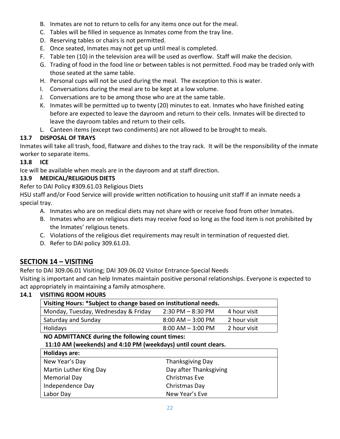- B. Inmates are not to return to cells for any items once out for the meal.
- C. Tables will be filled in sequence as Inmates come from the tray line.
- D. Reserving tables or chairs is not permitted.
- E. Once seated, Inmates may not get up until meal is completed.
- F. Table ten (10) in the television area will be used as overflow. Staff will make the decision.
- G. Trading of food in the food line or between tables is not permitted. Food may be traded only with those seated at the same table.
- H. Personal cups will not be used during the meal. The exception to this is water.
- I. Conversations during the meal are to be kept at a low volume.
- J. Conversations are to be among those who are at the same table.
- K. Inmates will be permitted up to twenty (20) minutes to eat. Inmates who have finished eating before are expected to leave the dayroom and return to their cells. Inmates will be directed to leave the dayroom tables and return to their cells.
- L. Canteen items (except two condiments) are not allowed to be brought to meals.

### <span id="page-21-0"></span>**13.7 DISPOSAL OF TRAYS**

Inmates will take all trash, food, flatware and dishes to the tray rack. It will be the responsibility of the inmate worker to separate items.

<span id="page-21-1"></span>**13.8 ICE**

Ice will be available when meals are in the dayroom and at staff direction.

### <span id="page-21-2"></span>**13.9 MEDICAL/RELIGIOUS DIETS**

Refer to DAI Policy #309.61.03 Religious Diets

HSU staff and/or Food Service will provide written notification to housing unit staff if an inmate needs a special tray.

- A. Inmates who are on medical diets may not share with or receive food from other Inmates.
- B. Inmates who are on religious diets may receive food so long as the food item is not prohibited by the Inmates' religious tenets.
- C. Violations of the religious diet requirements may result in termination of requested diet.
- D. Refer to DAI policy 309.61.03.

### <span id="page-21-3"></span>**SECTION 14 – VISITING**

Refer to DAI 309.06.01 Visiting; DAI 309.06.02 Visitor Entrance-Special Needs

Visiting is important and can help Inmates maintain positive personal relationships. Everyone is expected to act appropriately in maintaining a family atmosphere.

#### <span id="page-21-4"></span>**14.1 VISITING ROOM HOURS**

| Visiting Hours: *Subject to change based on institutional needs. |                      |              |
|------------------------------------------------------------------|----------------------|--------------|
| Monday, Tuesday, Wednesday & Friday                              | $2:30$ PM $-8:30$ PM | 4 hour visit |
| Saturday and Sunday                                              | $8:00$ AM $-3:00$ PM | 2 hour visit |
| Holidays                                                         | $8:00$ AM $-3:00$ PM | 2 hour visit |

**NO ADMITTANCE during the following count times:**

#### **11:10 AM (weekends) and 4:10 PM (weekdays) until count clears.**

| <b>Holidays are:</b>   |                         |  |
|------------------------|-------------------------|--|
| New Year's Day         | <b>Thanksgiving Day</b> |  |
| Martin Luther King Day | Day after Thanksgiving  |  |
| <b>Memorial Day</b>    | Christmas Eve           |  |
| Independence Day       | Christmas Day           |  |
| Labor Day              | New Year's Eve          |  |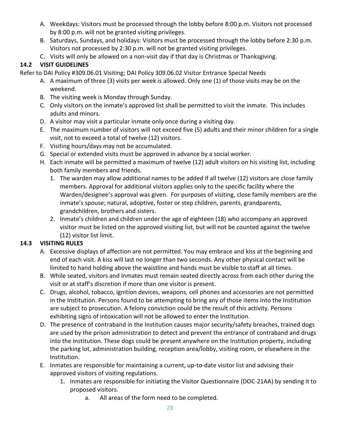- A. Weekdays: Visitors must be processed through the lobby before 8:00 p.m. Visitors not processed by 8:00 p.m. will not be granted visiting privileges.
- B. Saturdays, Sundays, and holidays: Visitors must be processed through the lobby before 2:30 p.m. Visitors not processed by 2:30 p.m. will not be granted visiting privileges.
- C. Visits will only be allowed on a non-visit day if that day is Christmas or Thanksgiving.

### <span id="page-22-0"></span>**14.2 VISIT GUIDELINES**

Refer to DAI Policy #309.06.01 Visiting; DAI Policy 309.06.02 Visitor Entrance Special Needs

- A. A maximum of three (3) visits per week is allowed. Only one (1) of those visits may be on the weekend.
- B. The visiting week is Monday through Sunday.
- C. Only visitors on the inmate's approved list shall be permitted to visit the inmate. This includes adults and minors.
- D. A visitor may visit a particular inmate only once during a visiting day.
- E. The maximum number of visitors will not exceed five (5) adults and their minor children for a single visit, not to exceed a total of twelve (12) visitors.
- F. Visiting hours/days may not be accumulated.
- G. Special or extended visits must be approved in advance by a social worker.
- H. Each inmate will be permitted a maximum of twelve (12) adult visitors on his visiting list, including both family members and friends.
	- 1. The warden may allow additional names to be added if all twelve (12) visitors are close family members. Approval for additional visitors applies only to the specific facility where the Warden/designee's approval was given. For purposes of visiting, close family members are the inmate's spouse; natural, adoptive, foster or step children, parents, grandparents, grandchildren, brothers and sisters.
	- 2. Inmate's children and children under the age of eighteen (18) who accompany an approved visitor must be listed on the approved visiting list, but will not be counted against the twelve (12) visitor list limit.

### <span id="page-22-1"></span>**14.3 VISITING RULES**

- A. Excessive displays of affection are not permitted. You may embrace and kiss at the beginning and end of each visit. A kiss will last no longer than two seconds. Any other physical contact will be limited to hand holding above the waistline and hands must be visible to staff at all times.
- B. While seated, visitors and Inmates must remain seated directly across from each other during the visit or at staff's discretion if more than one visitor is present.
- C. Drugs, alcohol, tobacco, ignition devices, weapons, cell phones and accessories are not permitted in the Institution. Persons found to be attempting to bring any of those items into the Institution are subject to prosecution. A felony conviction could be the result of this activity. Persons exhibiting signs of intoxication will not be allowed to enter the Institution.
- D. The presence of contraband in the Institution causes major security/safety breaches, trained dogs are used by the prison administration to detect and prevent the entrance of contraband and drugs into the Institution. These dogs could be present anywhere on the Institution property, including the parking lot, administration building, reception area/lobby, visiting room, or elsewhere in the Institution.
- E. Inmates are responsible for maintaining a current, up-to-date visitor list and advising their approved visitors of visiting regulations.
	- 1. Inmates are responsible for initiating the Visitor Questionnaire (DOC-21AA) by sending it to proposed visitors.
		- a. All areas of the form need to be completed.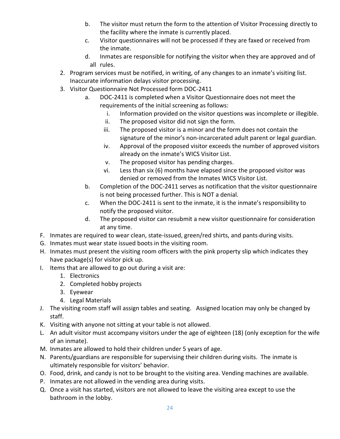- b. The visitor must return the form to the attention of Visitor Processing directly to the facility where the inmate is currently placed.
- c. Visitor questionnaires will not be processed if they are faxed or received from the inmate.
- d. Inmates are responsible for notifying the visitor when they are approved and of all rules.
- 2. Program services must be notified, in writing, of any changes to an inmate's visiting list. Inaccurate information delays visitor processing.
- 3. Visitor Questionnaire Not Processed form DOC-2411
	- a. DOC-2411 is completed when a Visitor Questionnaire does not meet the requirements of the initial screening as follows:
		- i. Information provided on the visitor questions was incomplete or illegible.
		- ii. The proposed visitor did not sign the form.
		- iii. The proposed visitor is a minor and the form does not contain the signature of the minor's non-incarcerated adult parent or legal guardian.
		- iv. Approval of the proposed visitor exceeds the number of approved visitors already on the inmate's WICS Visitor List.
		- v. The proposed visitor has pending charges.
		- vi. Less than six (6) months have elapsed since the proposed visitor was denied or removed from the Inmates WICS Visitor List.
	- b. Completion of the DOC-2411 serves as notification that the visitor questionnaire is not being processed further. This is NOT a denial.
	- c. When the DOC-2411 is sent to the inmate, it is the inmate's responsibility to notify the proposed visitor.
	- d. The proposed visitor can resubmit a new visitor questionnaire for consideration at any time.
- F. Inmates are required to wear clean, state-issued, green/red shirts, and pants-during visits.
- G. Inmates must wear state issued boots in the visiting room.
- H. Inmates must present the visiting room officers with the pink property slip which indicates they have package(s) for visitor pick up.
- I. Items that are allowed to go out during a visit are:
	- 1. Electronics
	- 2. Completed hobby projects
	- 3. Eyewear
	- 4. Legal Materials
- J. The visiting room staff will assign tables and seating. Assigned location may only be changed by staff.
- K. Visiting with anyone not sitting at your table is not allowed.
- L. An adult visitor must accompany visitors under the age of eighteen (18) (only exception for the wife of an inmate).
- M. Inmates are allowed to hold their children under 5 years of age.
- N. Parents/guardians are responsible for supervising their children during visits. The inmate is ultimately responsible for visitors' behavior.
- O. Food, drink, and candy is not to be brought to the visiting area. Vending machines are available.
- P. Inmates are not allowed in the vending area during visits.
- Q. Once a visit has started, visitors are not allowed to leave the visiting area except to use the bathroom in the lobby.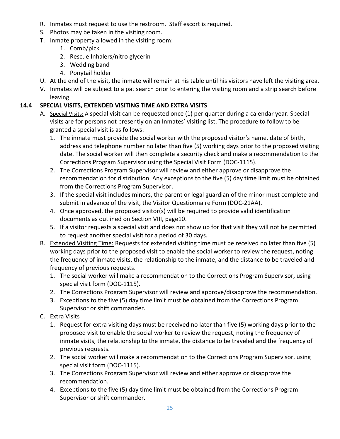- R. Inmates must request to use the restroom. Staff escort is required.
- S. Photos may be taken in the visiting room.
- T. Inmate property allowed in the visiting room:
	- 1. Comb/pick
	- 2. Rescue Inhalers/nitro glycerin
	- 3. Wedding band
	- 4. Ponytail holder
- U. At the end of the visit, the inmate will remain at his table until his visitors have left the visiting area.
- V. Inmates will be subject to a pat search prior to entering the visiting room and a strip search before leaving.

### <span id="page-24-0"></span>**14.4 SPECIAL VISITS, EXTENDED VISITING TIME AND EXTRA VISITS**

- A. Special Visits: A special visit can be requested once (1) per quarter during a calendar year. Special visits are for persons not presently on an Inmates' visiting list. The procedure to follow to be granted a special visit is as follows:
	- 1. The inmate must provide the social worker with the proposed visitor's name, date of birth, address and telephone number no later than five (5) working days prior to the proposed visiting date. The social worker will then complete a security check and make a recommendation to the Corrections Program Supervisor using the Special Visit Form (DOC-1115).
	- 2. The Corrections Program Supervisor will review and either approve or disapprove the recommendation for distribution. Any exceptions to the five (5) day time limit must be obtained from the Corrections Program Supervisor.
	- 3. If the special visit includes minors, the parent or legal guardian of the minor must complete and submit in advance of the visit, the Visitor Questionnaire Form (DOC-21AA).
	- 4. Once approved, the proposed visitor(s) will be required to provide valid identification documents as outlined on Section VIII, page10.
	- 5. If a visitor requests a special visit and does not show up for that visit they will not be permitted to request another special visit for a period of 30 days.
- B. Extended Visiting Time: Requests for extended visiting time must be received no later than five (5) working days prior to the proposed visit to enable the social worker to review the request, noting the frequency of inmate visits, the relationship to the inmate, and the distance to be traveled and frequency of previous requests.
	- 1. The social worker will make a recommendation to the Corrections Program Supervisor, using special visit form (DOC-1115).
	- 2. The Corrections Program Supervisor will review and approve/disapprove the recommendation.
	- 3. Exceptions to the five (5) day time limit must be obtained from the Corrections Program Supervisor or shift commander.
- C. Extra Visits
	- 1. Request for extra visiting days must be received no later than five (5) working days prior to the proposed visit to enable the social worker to review the request, noting the frequency of inmate visits, the relationship to the inmate, the distance to be traveled and the frequency of previous requests.
	- 2. The social worker will make a recommendation to the Corrections Program Supervisor, using special visit form (DOC-1115).
	- 3. The Corrections Program Supervisor will review and either approve or disapprove the recommendation.
	- 4. Exceptions to the five (5) day time limit must be obtained from the Corrections Program Supervisor or shift commander.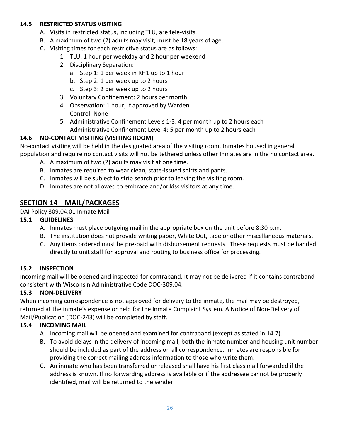#### <span id="page-25-0"></span>**14.5 RESTRICTED STATUS VISITING**

- A. Visits in restricted status, including TLU, are tele-visits.
- B. A maximum of two (2) adults may visit; must be 18 years of age.
- C. Visiting times for each restrictive status are as follows:
	- 1. TLU: 1 hour per weekday and 2 hour per weekend
	- 2. Disciplinary Separation:
		- a. Step 1: 1 per week in RH1 up to 1 hour
		- b. Step 2: 1 per week up to 2 hours
		- c. Step 3: 2 per week up to 2 hours
	- 3. Voluntary Confinement: 2 hours per month
	- 4. Observation: 1 hour, if approved by Warden Control: None
	- 5. Administrative Confinement Levels 1-3: 4 per month up to 2 hours each Administrative Confinement Level 4: 5 per month up to 2 hours each

#### <span id="page-25-1"></span>**14.6 NO-CONTACT VISITING (VISITING ROOM)**

No-contact visiting will be held in the designated area of the visiting room. Inmates housed in general population and require no contact visits will not be tethered unless other Inmates are in the no contact area.

- A. A maximum of two (2) adults may visit at one time.
- B. Inmates are required to wear clean, state-issued shirts and pants.
- C. Inmates will be subject to strip search prior to leaving the visiting room.
- D. Inmates are not allowed to embrace and/or kiss visitors at any time.

### <span id="page-25-2"></span>**SECTION 14 – MAIL/PACKAGES**

DAI Policy 309.04.01 Inmate Mail

#### <span id="page-25-3"></span>**15.1 GUIDELINES**

- A. Inmates must place outgoing mail in the appropriate box on the unit before 8:30 p.m.
- B. The institution does not provide writing paper, White Out, tape or other miscellaneous materials.
- C. Any items ordered must be pre-paid with disbursement requests. These requests must be handed directly to unit staff for approval and routing to business office for processing.

#### <span id="page-25-4"></span>**15.2 INSPECTION**

Incoming mail will be opened and inspected for contraband. It may not be delivered if it contains contraband consistent with Wisconsin Administrative Code DOC-309.04.

#### <span id="page-25-5"></span>**15.3 NON-DELIVERY**

When incoming correspondence is not approved for delivery to the inmate, the mail may be destroyed, returned at the inmate's expense or held for the Inmate Complaint System. A Notice of Non-Delivery of Mail/Publication (DOC-243) will be completed by staff.

#### <span id="page-25-6"></span>**15.4 INCOMING MAIL**

- A. Incoming mail will be opened and examined for contraband (except as stated in 14.7).
- B. To avoid delays in the delivery of incoming mail, both the inmate number and housing unit number should be included as part of the address on all correspondence. Inmates are responsible for providing the correct mailing address information to those who write them.
- C. An inmate who has been transferred or released shall have his first class mail forwarded if the address is known. If no forwarding address is available or if the addressee cannot be properly identified, mail will be returned to the sender.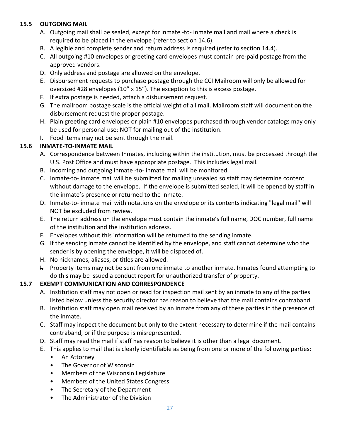#### <span id="page-26-0"></span>**15.5 OUTGOING MAIL**

- A. Outgoing mail shall be sealed, except for inmate -to- inmate mail and mail where a check is required to be placed in the envelope (refer to section 14.6).
- B. A legible and complete sender and return address is required (refer to section 14.4).
- C. All outgoing #10 envelopes or greeting card envelopes must contain pre-paid postage from the approved vendors.
- D. Only address and postage are allowed on the envelope.
- E. Disbursement requests to purchase postage through the CCI Mailroom will only be allowed for oversized #28 envelopes (10" x 15"). The exception to this is excess postage.
- F. If extra postage is needed, attach a disbursement request.
- G. The mailroom postage scale is the official weight of all mail. Mailroom staff will document on the disbursement request the proper postage.
- H. Plain greeting card envelopes or plain #10 envelopes purchased through vendor catalogs may only be used for personal use; NOT for mailing out of the institution.
- I. Food items may not be sent through the mail.

#### <span id="page-26-1"></span>**15.6 INMATE-TO-INMATE MAIL**

- A. Correspondence between Inmates, including within the institution, must be processed through the U.S. Post Office and must have appropriate postage. This includes legal mail.
- B. Incoming and outgoing inmate -to- inmate mail will be monitored.
- C. Inmate-to- inmate mail will be submitted for mailing unsealed so staff may determine content without damage to the envelope. If the envelope is submitted sealed, it will be opened by staff in the inmate's presence or returned to the inmate.
- D. Inmate-to- inmate mail with notations on the envelope or its contents indicating "legal mail" will NOT be excluded from review.
- E. The return address on the envelope must contain the inmate's full name, DOC number, full name of the institution and the institution address.
- F. Envelopes without this information will be returned to the sending inmate.
- G. If the sending inmate cannot be identified by the envelope, and staff cannot determine who the sender is by opening the envelope, it will be disposed of.
- H. No nicknames, aliases, or titles are allowed.
- I. Property items may not be sent from one inmate to another inmate. Inmates found attempting to do this may be issued a conduct report for unauthorized transfer of property.

#### <span id="page-26-2"></span>**15.7 EXEMPT COMMUNICATION AND CORRESPONDENCE**

- A. Institution staff may not open or read for inspection mail sent by an inmate to any of the parties listed below unless the security director has reason to believe that the mail contains contraband.
- B. Institution staff may open mail received by an inmate from any of these parties in the presence of the inmate.
- C. Staff may inspect the document but only to the extent necessary to determine if the mail contains contraband, or if the purpose is misrepresented.
- D. Staff may read the mail if staff has reason to believe it is other than a legal document.
- E. This applies to mail that is clearly identifiable as being from one or more of the following parties:
	- An Attorney
	- The Governor of Wisconsin
	- Members of the Wisconsin Legislature
	- Members of the United States Congress
	- The Secretary of the Department
	- The Administrator of the Division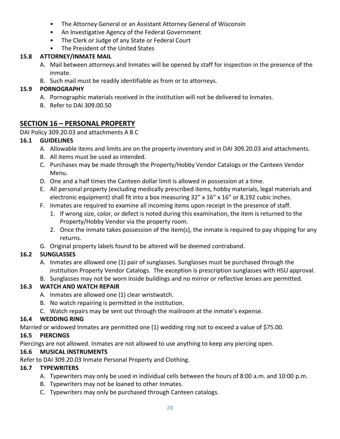- The Attorney General or an Assistant Attorney General of Wisconsin
- An Investigative Agency of the Federal Government
- The Clerk or Judge of any State or Federal Court
- The President of the United States

### <span id="page-27-0"></span>**15.8 ATTORNEY/INMATE MAIL**

- A. Mail between attorneys and Inmates will be opened by staff for inspection in the presence of the inmate.
- B. Such mail must be readily identifiable as from or to attorneys.

### <span id="page-27-1"></span>**15.9 PORNOGRAPHY**

- A. Pornographic materials received in the institution will not be delivered to Inmates.
- B. Refer to DAI 309.00.50

### <span id="page-27-2"></span>**SECTION 16 – PERSONAL PROPERTY**

DAI Policy 309.20.03 and attachments A B C

### <span id="page-27-3"></span>**16.1 GUIDELINES**

- A. Allowable items and limits are on the property inventory and in DAI 309.20.03 and attachments.
- B. All items must be used as intended.
- C. Purchases may be made through the Property/Hobby Vendor Catalogs or the Canteen Vendor Menu.
- D. One and a half times the Canteen dollar limit is allowed in possession at a time.
- E. All personal property (excluding medically prescribed items, hobby materials, legal materials and electronic equipment) shall fit into a box measuring  $32'' \times 16'' \times 16''$  or 8,192 cubic inches.
- F. Inmates are required to examine all incoming items upon receipt in the presence of staff.
	- 1. If wrong size, color, or defect is noted during this examination, the item is returned to the Property/Hobby Vendor via the property room.
	- 2. Once the inmate takes possession of the item(s), the inmate is required to pay shipping for any returns.
- G. Original property labels found to be altered will be deemed contraband.

### <span id="page-27-4"></span>**16.2 SUNGLASSES**

- A. Inmates are allowed one (1) pair of sunglasses. Sunglasses must be purchased through the institution Property Vendor Catalogs. The exception is prescription sunglasses with HSU approval.
- B. Sunglasses may not be worn inside buildings and no mirror or reflective lenses are permitted.

### <span id="page-27-5"></span>**16.3 WATCH AND WATCH REPAIR**

- A. Inmates are allowed one (1) clear wristwatch.
- B. No watch repairing is permitted in the institution.
- C. Watch repairs may be sent out through the mailroom at the inmate's expense.

### <span id="page-27-6"></span>**16.4 WEDDING RING**

Married or widowed Inmates are permitted one (1) wedding ring not to exceed a value of \$75.00.

### <span id="page-27-7"></span>**16.5 PIERCINGS**

Piercings are not allowed. Inmates are not allowed to use anything to keep any piercing open.

### <span id="page-27-8"></span>**16.6 MUSICAL INSTRUMENTS**

Refer to DAI 309.20.03 Inmate Personal Property and Clothing.

### <span id="page-27-9"></span>**16.7 TYPEWRITERS**

- A. Typewriters may only be used in individual cells between the hours of 8:00 a.m. and 10:00 p.m.
- B. Typewriters may not be loaned to other Inmates.
- C. Typewriters may only be purchased through Canteen catalogs.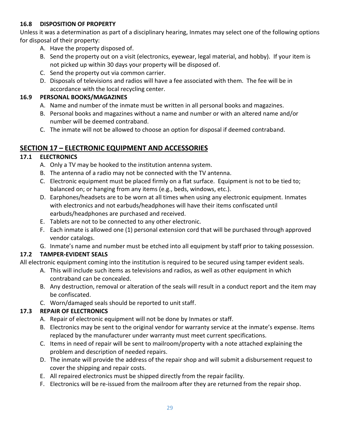#### <span id="page-28-0"></span>**16.8 DISPOSITION OF PROPERTY**

Unless it was a determination as part of a disciplinary hearing, Inmates may select one of the following options for disposal of their property:

- A. Have the property disposed of.
- B. Send the property out on a visit (electronics, eyewear, legal material, and hobby). If your item is not picked up within 30 days your property will be disposed of.
- C. Send the property out via common carrier.
- D. Disposals of televisions and radios will have a fee associated with them. The fee will be in accordance with the local recycling center.

#### <span id="page-28-1"></span>**16.9 PERSONAL BOOKS/MAGAZINES**

- A. Name and number of the inmate must be written in all personal books and magazines.
- B. Personal books and magazines without a name and number or with an altered name and/or number will be deemed contraband.
- C. The inmate will not be allowed to choose an option for disposal if deemed contraband.

### <span id="page-28-2"></span>**SECTION 17 – ELECTRONIC EQUIPMENT AND ACCESSORIES**

#### <span id="page-28-3"></span>**17.1 ELECTRONICS**

- A. Only a TV may be hooked to the institution antenna system.
- B. The antenna of a radio may not be connected with the TV antenna.
- C. Electronic equipment must be placed firmly on a flat surface. Equipment is not to be tied to; balanced on; or hanging from any items (e.g., beds, windows, etc.).
- D. Earphones/headsets are to be worn at all times when using any electronic equipment. Inmates with electronics and not earbuds/headphones will have their items confiscated until earbuds/headphones are purchased and received.
- E. Tablets are not to be connected to any other electronic.
- F. Each inmate is allowed one (1) personal extension cord that will be purchased through approved vendor catalogs.
- G. Inmate's name and number must be etched into all equipment by staff prior to taking possession.

#### <span id="page-28-4"></span>**17.2 TAMPER-EVIDENT SEALS**

All electronic equipment coming into the institution is required to be secured using tamper evident seals.

- A. This will include such items as televisions and radios, as well as other equipment in which contraband can be concealed.
- B. Any destruction, removal or alteration of the seals will result in a conduct report and the item may be confiscated.
- C. Worn/damaged seals should be reported to unit staff.

#### <span id="page-28-5"></span>**17.3 REPAIR OF ELECTRONICS**

- A. Repair of electronic equipment will not be done by Inmates or staff.
- B. Electronics may be sent to the original vendor for warranty service at the inmate's expense. Items replaced by the manufacturer under warranty must meet current specifications.
- C. Items in need of repair will be sent to mailroom/property with a note attached explaining the problem and description of needed repairs.
- D. The inmate will provide the address of the repair shop and will submit a disbursement request to cover the shipping and repair costs.
- E. All repaired electronics must be shipped directly from the repair facility.
- F. Electronics will be re-issued from the mailroom after they are returned from the repair shop.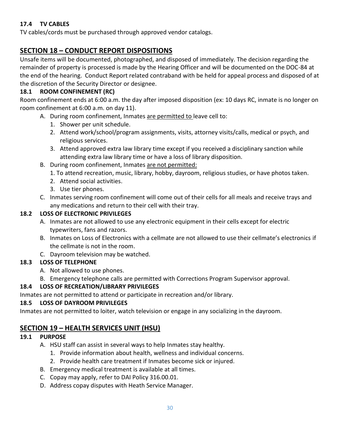### <span id="page-29-0"></span>**17.4 TV CABLES**

TV cables/cords must be purchased through approved vendor catalogs.

### <span id="page-29-1"></span>**SECTION 18 – CONDUCT REPORT DISPOSITIONS**

Unsafe items will be documented, photographed, and disposed of immediately. The decision regarding the remainder of property is processed is made by the Hearing Officer and will be documented on the DOC-84 at the end of the hearing. Conduct Report related contraband with be held for appeal process and disposed of at the discretion of the Security Director or designee.

#### <span id="page-29-2"></span>**18.1 ROOM CONFINEMENT (RC)**

Room confinement ends at 6:00 a.m. the day after imposed disposition (ex: 10 days RC, inmate is no longer on room confinement at 6:00 a.m. on day 11).

- A. During room confinement, Inmates are permitted to leave cell to:
	- 1. Shower per unit schedule.
	- 2. Attend work/school/program assignments, visits, attorney visits/calls, medical or psych, and religious services.
	- 3. Attend approved extra law library time except if you received a disciplinary sanction while attending extra law library time or have a loss of library disposition.
- B. During room confinement, Inmates are not permitted:
	- 1. To attend recreation, music, library, hobby, dayroom, religious studies, or have photos taken.
	- 2. Attend social activities.
	- 3. Use tier phones.
- C. Inmates serving room confinement will come out of their cells for all meals and receive trays and any medications and return to their cell with their tray.

#### <span id="page-29-3"></span>**18.2 LOSS OF ELECTRONIC PRIVILEGES**

- A. Inmates are not allowed to use any electronic equipment in their cells except for electric typewriters, fans and razors.
- B. Inmates on Loss of Electronics with a cellmate are not allowed to use their cellmate's electronics if the cellmate is not in the room.
- C. Dayroom television may be watched.

#### <span id="page-29-4"></span>**18.3 LOSS OF TELEPHONE**

- A. Not allowed to use phones.
- B. Emergency telephone calls are permitted with Corrections Program Supervisor approval.

#### <span id="page-29-5"></span>**18.4 LOSS OF RECREATION/LIBRARY PRIVILEGES**

Inmates are not permitted to attend or participate in recreation and/or library.

#### <span id="page-29-6"></span>**18.5 LOSS OF DAYROOM PRIVILEGES**

Inmates are not permitted to loiter, watch television or engage in any socializing in the dayroom.

### <span id="page-29-7"></span>**SECTION 19 – HEALTH SERVICES UNIT (HSU)**

#### <span id="page-29-8"></span>**19.1 PURPOSE**

- A. HSU staff can assist in several ways to help Inmates stay healthy.
	- 1. Provide information about health, wellness and individual concerns.
	- 2. Provide health care treatment if Inmates become sick or injured.
- B. Emergency medical treatment is available at all times.
- C. Copay may apply, refer to DAI Policy 316.00.01.
- D. Address copay disputes with Heath Service Manager.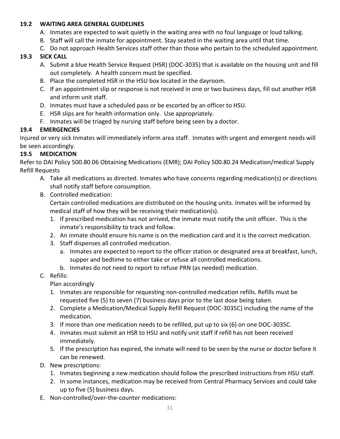#### <span id="page-30-0"></span>**19.2 WAITING AREA GENERAL GUIDELINES**

- A. Inmates are expected to wait quietly in the waiting area with no foul language or loud talking.
- B. Staff will call the inmate for appointment. Stay seated in the waiting area until that time.
- C. Do not approach Health Services staff other than those who pertain to the scheduled appointment.

### <span id="page-30-1"></span>**19.3 SICK CALL**

- A. Submit a blue Health Service Request (HSR) (DOC-3035) that is available on the housing unit and fill out completely. A health concern must be specified.
- B. Place the completed HSR in the HSU box located in the dayroom.
- C. If an appointment slip or response is not received in one or two business days, fill out another HSR and inform unit staff.
- D. Inmates must have a scheduled pass or be escorted by an officer to HSU.
- E. HSR slips are for health information only. Use appropriately.
- F. Inmates will be triaged by nursing staff before being seen by a doctor.

### <span id="page-30-2"></span>**19.4 EMERGENCIES**

Injured or very sick Inmates will immediately inform area staff. Inmates with urgent and emergent needs will be seen accordingly.

### <span id="page-30-3"></span>**19.5 MEDICATION**

Refer to DAI Policy 500.80.06 Obtaining Medications (EMR); DAI Policy 500.80.24 Medication/medical Supply Refill Requests

- A. Take all medications as directed. Inmates who have concerns regarding medication(s) or directions shall notify staff before consumption.
- B. Controlled medication:

Certain controlled medications are distributed on the housing units. Inmates will be informed by medical staff of how they will be receiving their medication(s).

- 1. If prescribed medication has not arrived, the inmate must notify the unit officer. This is the inmate's responsibility to track and follow.
- 2. An inmate should ensure his name is on the medication card and it is the correct medication.
- 3. Staff dispenses all controlled medication.
	- a. Inmates are expected to report to the officer station or designated area at breakfast, lunch, supper and bedtime to either take or refuse all controlled medications.
	- b. Inmates do not need to report to refuse PRN (as needed) medication.
- C. Refills:

### Plan accordingly

- 1. Inmates are responsible for requesting non-controlled medication refills. Refills must be requested five (5) to seven (7) business days prior to the last dose being taken.
- 2. Complete a Medication/Medical Supply Refill Request (DOC-3035C) including the name of the medication.
- 3. If more than one medication needs to be refilled, put up to six (6) on one DOC-3035C.
- 4. Inmates must submit an HSR to HSU and notify unit staff if refill has not been received immediately.
- 5. If the prescription has expired, the inmate will need to be seen by the nurse or doctor before it can be renewed.
- D. New prescriptions:
	- 1. Inmates beginning a new medication should follow the prescribed instructions from HSU staff.
	- 2. In some instances, medication may be received from Central Pharmacy Services and could take up to five (5) business days.
- E. Non-controlled/over-the-counter medications: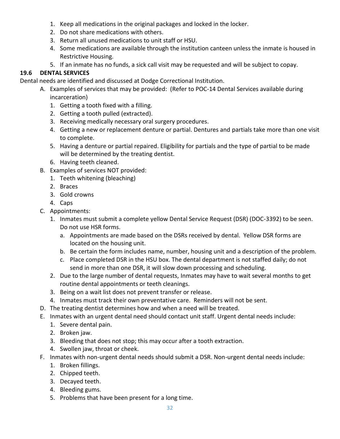- 1. Keep all medications in the original packages and locked in the locker.
- 2. Do not share medications with others.
- 3. Return all unused medications to unit staff or HSU.
- 4. Some medications are available through the institution canteen unless the inmate is housed in Restrictive Housing.
- 5. If an inmate has no funds, a sick call visit may be requested and will be subject to copay.

### <span id="page-31-0"></span>**19.6 DENTAL SERVICES**

Dental needs are identified and discussed at Dodge Correctional Institution.

- A. Examples of services that may be provided: (Refer to POC-14 Dental Services available during incarceration)
	- 1. Getting a tooth fixed with a filling.
	- 2. Getting a tooth pulled (extracted).
	- 3. Receiving medically necessary oral surgery procedures.
	- 4. Getting a new or replacement denture or partial. Dentures and partials take more than one visit to complete.
	- 5. Having a denture or partial repaired. Eligibility for partials and the type of partial to be made will be determined by the treating dentist.
	- 6. Having teeth cleaned.
- B. Examples of services NOT provided:
	- 1. Teeth whitening (bleaching)
	- 2. Braces
	- 3. Gold crowns
	- 4. Caps
- C. Appointments:
	- 1. Inmates must submit a complete yellow Dental Service Request (DSR) (DOC-3392) to be seen. Do not use HSR forms.
		- a. Appointments are made based on the DSRs received by dental. Yellow DSR forms are located on the housing unit.
		- b. Be certain the form includes name, number, housing unit and a description of the problem.
		- c. Place completed DSR in the HSU box. The dental department is not staffed daily; do not send in more than one DSR, it will slow down processing and scheduling.
	- 2. Due to the large number of dental requests, Inmates may have to wait several months to get routine dental appointments or teeth cleanings.
	- 3. Being on a wait list does not prevent transfer or release.
	- 4. Inmates must track their own preventative care. Reminders will not be sent.
- D. The treating dentist determines how and when a need will be treated.
- E. Inmates with an urgent dental need should contact unit staff. Urgent dental needs include:
	- 1. Severe dental pain.
	- 2. Broken jaw.
	- 3. Bleeding that does not stop; this may occur after a tooth extraction.
	- 4. Swollen jaw, throat or cheek.
- F. Inmates with non-urgent dental needs should submit a DSR. Non-urgent dental needs include:
	- 1. Broken fillings.
	- 2. Chipped teeth.
	- 3. Decayed teeth.
	- 4. Bleeding gums.
	- 5. Problems that have been present for a long time.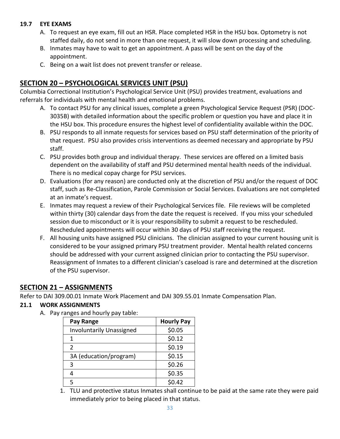#### <span id="page-32-0"></span>**19.7 EYE EXAMS**

- A. To request an eye exam, fill out an HSR. Place completed HSR in the HSU box. Optometry is not staffed daily, do not send in more than one request, it will slow down processing and scheduling.
- B. Inmates may have to wait to get an appointment. A pass will be sent on the day of the appointment.
- C. Being on a wait list does not prevent transfer or release.

### <span id="page-32-1"></span>**SECTION 20 – PSYCHOLOGICAL SERVICES UNIT (PSU)**

Columbia Correctional Institution's Psychological Service Unit (PSU) provides treatment, evaluations and referrals for individuals with mental health and emotional problems.

- A. To contact PSU for any clinical issues, complete a green Psychological Service Request (PSR) (DOC-3035B) with detailed information about the specific problem or question you have and place it in the HSU box. This procedure ensures the highest level of confidentiality available within the DOC.
- B. PSU responds to all inmate requests for services based on PSU staff determination of the priority of that request. PSU also provides crisis interventions as deemed necessary and appropriate by PSU staff.
- C. PSU provides both group and individual therapy. These services are offered on a limited basis dependent on the availability of staff and PSU determined mental health needs of the individual. There is no medical copay charge for PSU services.
- D. Evaluations (for any reason) are conducted only at the discretion of PSU and/or the request of DOC staff, such as Re-Classification, Parole Commission or Social Services. Evaluations are not completed at an inmate's request.
- E. Inmates may request a review of their Psychological Services file. File reviews will be completed within thirty (30) calendar days from the date the request is received. If you miss your scheduled session due to misconduct or it is your responsibility to submit a request to be rescheduled. Rescheduled appointments will occur within 30 days of PSU staff receiving the request.
- F. All housing units have assigned PSU clinicians. The clinician assigned to your current housing unit is considered to be your assigned primary PSU treatment provider. Mental health related concerns should be addressed with your current assigned clinician prior to contacting the PSU supervisor. Reassignment of Inmates to a different clinician's caseload is rare and determined at the discretion of the PSU supervisor.

### <span id="page-32-2"></span>**SECTION 21 – ASSIGNMENTS**

Refer to DAI 309.00.01 Inmate Work Placement and DAI 309.55.01 Inmate Compensation Plan.

#### <span id="page-32-3"></span>**21.1 WORK ASSIGNMENTS**

A. Pay ranges and hourly pay table:

| Pay Range                       | <b>Hourly Pay</b> |
|---------------------------------|-------------------|
| <b>Involuntarily Unassigned</b> | \$0.05            |
| 1                               | \$0.12            |
| 2                               | \$0.19            |
| 3A (education/program)          | \$0.15            |
| 3                               | \$0.26            |
| Δ                               | \$0.35            |
| 5                               | \$0.42            |

1. TLU and protective status Inmates shall continue to be paid at the same rate they were paid immediately prior to being placed in that status.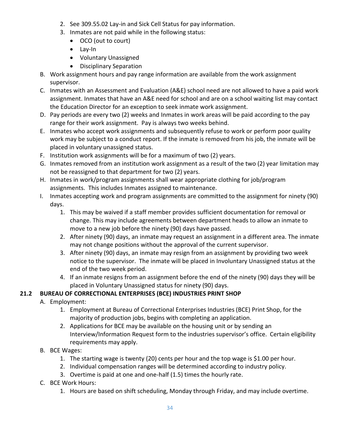- 2. See 309.55.02 Lay-in and Sick Cell Status for pay information.
- 3. Inmates are not paid while in the following status:
	- OCO (out to court)
	- Lay-In
	- Voluntary Unassigned
	- Disciplinary Separation
- B. Work assignment hours and pay range information are available from the work assignment supervisor.
- C. Inmates with an Assessment and Evaluation (A&E) school need are not allowed to have a paid work assignment. Inmates that have an A&E need for school and are on a school waiting list may contact the Education Director for an exception to seek inmate work assignment.
- D. Pay periods are every two (2) weeks and Inmates in work areas will be paid according to the pay range for their work assignment. Pay is always two weeks behind.
- E. Inmates who accept work assignments and subsequently refuse to work or perform poor quality work may be subject to a conduct report. If the inmate is removed from his job, the inmate will be placed in voluntary unassigned status.
- F. Institution work assignments will be for a maximum of two (2) years.
- G. Inmates removed from an institution work assignment as a result of the two (2) year limitation may not be reassigned to that department for two (2) years.
- H. Inmates in work/program assignments shall wear appropriate clothing for job/program assignments. This includes Inmates assigned to maintenance.
- I. Inmates accepting work and program assignments are committed to the assignment for ninety (90) days.
	- 1. This may be waived if a staff member provides sufficient documentation for removal or change. This may include agreements between department heads to allow an inmate to move to a new job before the ninety (90) days have passed.
	- 2. After ninety (90) days, an inmate may request an assignment in a different area. The inmate may not change positions without the approval of the current supervisor.
	- 3. After ninety (90) days, an inmate may resign from an assignment by providing two week notice to the supervisor. The inmate will be placed in Involuntary Unassigned status at the end of the two week period.
	- 4. If an inmate resigns from an assignment before the end of the ninety (90) days they will be placed in Voluntary Unassigned status for ninety (90) days.

### <span id="page-33-0"></span>**21.2 BUREAU OF CORRECTIONAL ENTERPRISES (BCE) INDUSTRIES PRINT SHOP**

- A. Employment:
	- 1. Employment at Bureau of Correctional Enterprises Industries (BCE) Print Shop, for the majority of production jobs, begins with completing an application.
	- 2. Applications for BCE may be available on the housing unit or by sending an Interview/Information Request form to the industries supervisor's office. Certain eligibility requirements may apply.
- B. BCE Wages:
	- 1. The starting wage is twenty (20) cents per hour and the top wage is \$1.00 per hour.
	- 2. Individual compensation ranges will be determined according to industry policy.
	- 3. Overtime is paid at one and one-half (1.5) times the hourly rate.
- C. BCE Work Hours:
	- 1. Hours are based on shift scheduling, Monday through Friday, and may include overtime.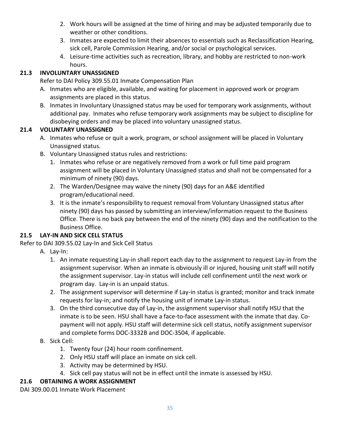- 2. Work hours will be assigned at the time of hiring and may be adjusted temporarily due to weather or other conditions.
- 3. Inmates are expected to limit their absences to essentials such as Reclassification Hearing, sick cell, Parole Commission Hearing, and/or social or psychological services.
- 4. Leisure-time activities such as recreation, library, and hobby are restricted to non-work hours.

### <span id="page-34-0"></span>**21.3 INVOLUNTARY UNASSIGNED**

Refer to DAI Policy 309.55.01 Inmate Compensation Plan

- A. Inmates who are eligible, available, and waiting for placement in approved work or program assignments are placed in this status.
- B. Inmates in Involuntary Unassigned status may be used for temporary work assignments, without additional pay. Inmates who refuse temporary work assignments may be subject to discipline for disobeying orders and may be placed into voluntary unassigned status.

### <span id="page-34-1"></span>**21.4 VOLUNTARY UNASSIGNED**

- A. Inmates who refuse or quit a work, program, or school assignment will be placed in Voluntary Unassigned status.
- B. Voluntary Unassigned status rules and restrictions:
	- 1. Inmates who refuse or are negatively removed from a work or full time paid program assignment will be placed in Voluntary Unassigned status and shall not be compensated for a minimum of ninety (90) days.
	- 2. The Warden/Designee may waive the ninety (90) days for an A&E identified program/educational need.
	- 3. It is the inmate's responsibility to request removal from Voluntary Unassigned status after ninety (90) days has passed by submitting an interview/information request to the Business Office. There is no back pay between the end of the ninety (90) days and the notification to the Business Office.

### <span id="page-34-2"></span>**21.5 LAY-IN AND SICK CELL STATUS**

Refer to DAI 309.55.02 Lay-In and Sick Cell Status

- A. Lay-In:
	- 1. An inmate requesting Lay-in shall report each day to the assignment to request Lay-in from the assignment supervisor. When an inmate is obviously ill or injured, housing unit staff will notify the assignment supervisor. Lay-in status will include cell confinement until the next work or program day. Lay-in is an unpaid status.
	- 2. The assignment supervisor will determine if Lay-in status is granted; monitor and track inmate requests for lay-in; and notify the housing unit of inmate Lay-in status.
	- 3. On the third consecutive day of Lay-in, the assignment supervisor shall notify HSU that the inmate is to be seen. HSU shall have a face-to-face assessment with the inmate that day. Copayment will not apply. HSU staff will determine sick cell status, notify assignment supervisor and complete forms DOC-3332B and DOC-3504, if applicable.

#### B. Sick Cell:

- 1. Twenty four (24) hour room confinement.
- 2. Only HSU staff will place an inmate on sick cell.
- 3. Activity may be determined by HSU.
- 4. Sick cell pay status will not be in effect until the inmate is assessed by HSU.

### <span id="page-34-3"></span>**21.6 OBTAINING A WORK ASSIGNMENT**

DAI 309.00.01 Inmate Work Placement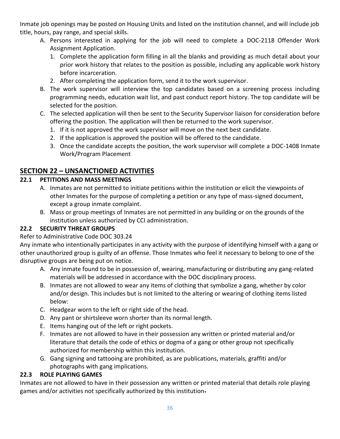Inmate job openings may be posted on Housing Units and listed on the institution channel, and will include job title, hours, pay range, and special skills.

- A. Persons interested in applying for the job will need to complete a DOC-2118 Offender Work Assignment Application.
	- 1. Complete the application form filling in all the blanks and providing as much detail about your prior work history that relates to the position as possible, including any applicable work history before incarceration.
	- 2. After completing the application form, send it to the work supervisor.
- B. The work supervisor will interview the top candidates based on a screening process including programming needs, education wait list, and past conduct report history. The top candidate will be selected for the position.
- C. The selected application will then be sent to the Security Supervisor liaison for consideration before offering the position. The application will then be returned to the work supervisor.
	- 1. If it is not approved the work supervisor will move on the next best candidate.
	- 2. If the application is approved the position will be offered to the candidate.
	- 3. Once the candidate accepts the position, the work supervisor will complete a DOC-1408 Inmate Work/Program Placement

### <span id="page-35-0"></span>**SECTION 22 – UNSANCTIONED ACTIVITIES**

#### <span id="page-35-1"></span>**22.1 PETITIONS AND MASS MEETINGS**

- A. Inmates are not permitted to initiate petitions within the institution or elicit the viewpoints of other Inmates for the purpose of completing a petition or any type of mass-signed document, except a group inmate complaint.
- B. Mass or group meetings of Inmates are not permitted in any building or on the grounds of the institution unless authorized by CCI administration.

#### <span id="page-35-2"></span>**22.2 SECURITY THREAT GROUPS**

#### Refer to Administrative Code DOC 303.24

Any inmate who intentionally participates in any activity with the purpose of identifying himself with a gang or other unauthorized group is guilty of an offense. Those Inmates who feel it necessary to belong to one of the disruptive groups are being put on notice.

- A. Any inmate found to be in possession of, wearing, manufacturing or distributing any gang-related materials will be addressed in accordance with the DOC disciplinary process.
- B. Inmates are not allowed to wear any items of clothing that symbolize a gang, whether by color and/or design. This includes but is not limited to the altering or wearing of clothing items listed below:
- C. Headgear worn to the left or right side of the head.
- D. Any pant or shirtsleeve worn shorter than its normal length.
- E. Items hanging out of the left or right pockets.
- F. Inmates are not allowed to have in their possession any written or printed material and/or literature that details the code of ethics or dogma of a gang or other group not specifically authorized for membership within this institution.
- G. Gang signing and tattooing are prohibited, as are publications, materials, graffiti and/or photographs with gang implications.

#### <span id="page-35-3"></span>**22.3 ROLE PLAYING GAMES**

Inmates are not allowed to have in their possession any written or printed material that details role playing games and/or activities not specifically authorized by this institution.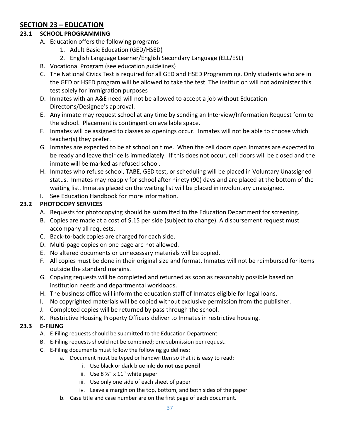### <span id="page-36-0"></span>**SECTION 23 – EDUCATION**

#### <span id="page-36-1"></span>**23.1 SCHOOL PROGRAMMING**

- A. Education offers the following programs
	- 1. Adult Basic Education (GED/HSED)
	- 2. English Language Learner/English Secondary Language (ELL/ESL)
- B. Vocational Program (see education guidelines)
- C. The National Civics Test is required for all GED and HSED Programming. Only students who are in the GED or HSED program will be allowed to take the test. The institution will not administer this test solely for immigration purposes
- D. Inmates with an A&E need will not be allowed to accept a job without Education Director's/Designee's approval.
- E. Any inmate may request school at any time by sending an Interview/Information Request form to the school. Placement is contingent on available space.
- F. Inmates will be assigned to classes as openings occur. Inmates will not be able to choose which teacher(s) they prefer.
- G. Inmates are expected to be at school on time. When the cell doors open Inmates are expected to be ready and leave their cells immediately. If this does not occur, cell doors will be closed and the inmate will be marked as refused school.
- H. Inmates who refuse school, TABE, GED test, or scheduling will be placed in Voluntary Unassigned status. Inmates may reapply for school after ninety (90) days and are placed at the bottom of the waiting list. Inmates placed on the waiting list will be placed in involuntary unassigned.
- I. See Education Handbook for more information.

### <span id="page-36-2"></span>**23.2 PHOTOCOPY SERVICES**

- A. Requests for photocopying should be submitted to the Education Department for screening.
- B. Copies are made at a cost of \$.15 per side (subject to change). A disbursement request must accompany all requests.
- C. Back-to-back copies are charged for each side.
- D. Multi-page copies on one page are not allowed.
- E. No altered documents or unnecessary materials will be copied.
- F. All copies must be done in their original size and format. Inmates will not be reimbursed for items outside the standard margins.
- G. Copying requests will be completed and returned as soon as reasonably possible based on institution needs and departmental workloads.
- H. The business office will inform the education staff of Inmates eligible for legal loans.
- I. No copyrighted materials will be copied without exclusive permission from the publisher.
- J. Completed copies will be returned by pass through the school.
- K. Restrictive Housing Property Officers deliver to Inmates in restrictive housing.

#### <span id="page-36-3"></span>**23.3 E-FILING**

- A. E-Filing requests should be submitted to the Education Department.
- B. E-Filing requests should not be combined; one submission per request.
- C. E-Filing documents must follow the following guidelines:
	- a. Document must be typed or handwritten so that it is easy to read:
		- i. Use black or dark blue ink; **do not use pencil**
		- ii. Use  $8\frac{1}{2}$  x 11" white paper
		- iii. Use only one side of each sheet of paper
		- iv. Leave a margin on the top, bottom, and both sides of the paper
	- b. Case title and case number are on the first page of each document.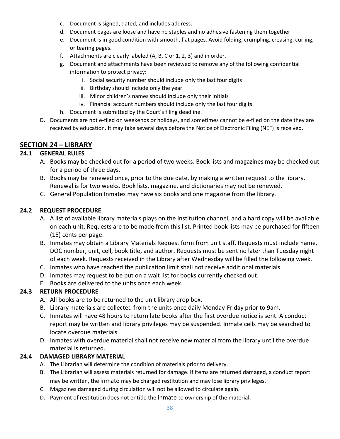- c. Document is signed, dated, and includes address.
- d. Document pages are loose and have no staples and no adhesive fastening them together.
- e. Document is in good condition with smooth, flat pages. Avoid folding, crumpling, creasing, curling, or tearing pages.
- f. Attachments are clearly labeled (A, B, C or 1, 2, 3) and in order.
- g. Document and attachments have been reviewed to remove any of the following confidential information to protect privacy:
	- i. Social security number should include only the last four digits
	- ii. Birthday should include only the year
	- iii. Minor children's names should include only their initials
	- iv. Financial account numbers should include only the last four digits
- h. Document is submitted by the Court's filing deadline.
- D. Documents are not e-filed on weekends or holidays, and sometimes cannot be e-filed on the date they are received by education. It may take several days before the Notice of Electronic Filing (NEF) is received.

#### <span id="page-37-0"></span>**SECTION 24 – LIBRARY**

#### <span id="page-37-1"></span>**24.1 GENERAL RULES**

- A. Books may be checked out for a period of two weeks. Book lists and magazines may be checked out for a period of three days.
- B. Books may be renewed once, prior to the due date, by making a written request to the library. Renewal is for two weeks. Book lists, magazine, and dictionaries may not be renewed.
- C. General Population Inmates may have six books and one magazine from the library.

#### <span id="page-37-2"></span>**24.2 REQUEST PROCEDURE**

- A. A list of available library materials plays on the institution channel, and a hard copy will be available on each unit. Requests are to be made from this list. Printed book lists may be purchased for fifteen (15) cents per page.
- B. Inmates may obtain a Library Materials Request form from unit staff. Requests must include name, DOC number, unit, cell, book title, and author. Requests must be sent no later than Tuesday night of each week. Requests received in the Library after Wednesday will be filled the following week.
- C. Inmates who have reached the publication limit shall not receive additional materials.
- D. Inmates may request to be put on a wait list for books currently checked out.
- E. Books are delivered to the units once each week.

#### <span id="page-37-3"></span>**24.3 RETURN PROCEDURE**

- A. All books are to be returned to the unit library drop box.
- B. Library materials are collected from the units once daily Monday-Friday prior to 9am.
- C. Inmates will have 48 hours to return late books after the first overdue notice is sent. A conduct report may be written and library privileges may be suspended. Inmate cells may be searched to locate overdue materials.
- D. Inmates with overdue material shall not receive new material from the library until the overdue material is returned.

#### <span id="page-37-4"></span>**24.4 DAMAGED LIBRARY MATERIAL**

- A. The Librarian will determine the condition of materials prior to delivery.
- B. The Librarian will assess materials returned for damage. If items are returned damaged, a conduct report may be written, the inmate may be charged restitution and may lose library privileges.
- C. Magazines damaged during circulation will not be allowed to circulate again.
- D. Payment of restitution does not entitle the inmate to ownership of the material.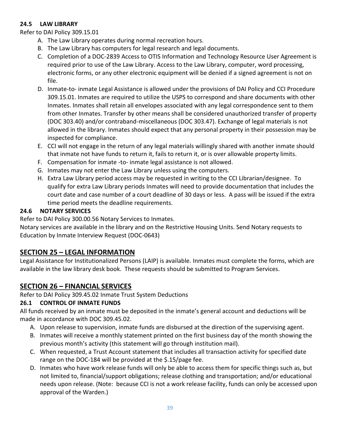#### <span id="page-38-0"></span>**24.5 LAW LIBRARY**

Refer to DAI Policy 309.15.01

- A. The Law Library operates during normal recreation hours.
- B. The Law Library has computers for legal research and legal documents.
- C. Completion of a DOC-2839 Access to OTIS Information and Technology Resource User Agreement is required prior to use of the Law Library. Access to the Law Library, computer, word processing, electronic forms, or any other electronic equipment will be denied if a signed agreement is not on file.
- D. Inmate-to- inmate Legal Assistance is allowed under the provisions of DAI Policy and CCI Procedure 309.15.01. Inmates are required to utilize the USPS to correspond and share documents with other Inmates. Inmates shall retain all envelopes associated with any legal correspondence sent to them from other Inmates. Transfer by other means shall be considered unauthorized transfer of property (DOC 303.40) and/or contraband-miscellaneous (DOC 303.47). Exchange of legal materials is not allowed in the library. Inmates should expect that any personal property in their possession may be inspected for compliance.
- E. CCI will not engage in the return of any legal materials willingly shared with another inmate should that inmate not have funds to return it, fails to return it, or is over allowable property limits.
- F. Compensation for inmate -to- inmate legal assistance is not allowed.
- G. Inmates may not enter the Law Library unless using the computers.
- H. Extra Law Library period access may be requested in writing to the CCI Librarian/designee. To qualify for extra Law Library periods Inmates will need to provide documentation that includes the court date and case number of a court deadline of 30 days or less. A pass will be issued if the extra time period meets the deadline requirements.

#### <span id="page-38-1"></span>**24.6 NOTARY SERVICES**

Refer to DAI Policy 300.00.56 Notary Services to Inmates.

Notary services are available in the library and on the Restrictive Housing Units. Send Notary requests to Education by Inmate Interview Request (DOC-0643)

### <span id="page-38-2"></span>**SECTION 25 – LEGAL INFORMATION**

Legal Assistance for Institutionalized Persons (LAIP) is available. Inmates must complete the forms, which are available in the law library desk book. These requests should be submitted to Program Services.

### <span id="page-38-3"></span>**SECTION 26 – FINANCIAL SERVICES**

Refer to DAI Policy 309.45.02 Inmate Trust System Deductions

#### <span id="page-38-4"></span>**26.1 CONTROL OF INMATE FUNDS**

All funds received by an inmate must be deposited in the inmate's general account and deductions will be made in accordance with DOC 309.45.02.

- A. Upon release to supervision, inmate funds are disbursed at the direction of the supervising agent.
- B. Inmates will receive a monthly statement printed on the first business day of the month showing the previous month's activity (this statement will go through institution mail).
- C. When requested, a Trust Account statement that includes all transaction activity for specified date range on the DOC-184 will be provided at the \$.15/page fee.
- D. Inmates who have work release funds will only be able to access them for specific things such as, but not limited to, financial/support obligations; release clothing and transportation; and/or educational needs upon release. (Note: because CCI is not a work release facility, funds can only be accessed upon approval of the Warden.)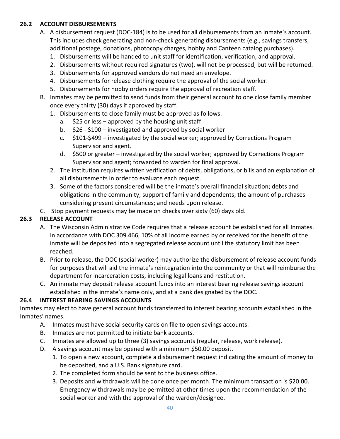#### <span id="page-39-0"></span>**26.2 ACCOUNT DISBURSEMENTS**

- A. A disbursement request (DOC-184) is to be used for all disbursements from an inmate's account. This includes check generating and non-check generating disbursements (e.g., savings transfers, additional postage, donations, photocopy charges, hobby and Canteen catalog purchases).
	- 1. Disbursements will be handed to unit staff for identification, verification, and approval.
	- 2. Disbursements without required signatures (two), will not be processed, but will be returned.
	- 3. Disbursements for approved vendors do not need an envelope.
	- 4. Disbursements for release clothing require the approval of the social worker.
	- 5. Disbursements for hobby orders require the approval of recreation staff.
- B. Inmates may be permitted to send funds from their general account to one close family member once every thirty (30) days if approved by staff.
	- 1. Disbursements to close family must be approved as follows:
		- a. \$25 or less approved by the housing unit staff
		- b. \$26 \$100 investigated and approved by social worker
		- c. \$101-\$499 investigated by the social worker; approved by Corrections Program Supervisor and agent.
		- d. \$500 or greater investigated by the social worker; approved by Corrections Program Supervisor and agent; forwarded to warden for final approval.
	- 2. The institution requires written verification of debts, obligations, or bills and an explanation of all disbursements in order to evaluate each request.
	- 3. Some of the factors considered will be the inmate's overall financial situation; debts and obligations in the community; support of family and dependents; the amount of purchases considering present circumstances; and needs upon release.
- C. Stop payment requests may be made on checks over sixty (60) days old.

#### <span id="page-39-1"></span>**26.3 RELEASE ACCOUNT**

- A. The Wisconsin Administrative Code requires that a release account be established for all Inmates. In accordance with DOC 309.466, 10% of all income earned by or received for the benefit of the inmate will be deposited into a segregated release account until the statutory limit has been reached.
- B. Prior to release, the DOC (social worker) may authorize the disbursement of release account funds for purposes that will aid the inmate's reintegration into the community or that will reimburse the department for incarceration costs, including legal loans and restitution.
- C. An inmate may deposit release account funds into an interest bearing release savings account established in the inmate's name only, and at a bank designated by the DOC.

#### <span id="page-39-2"></span>**26.4 INTEREST BEARING SAVINGS ACCOUNTS**

Inmates may elect to have general account funds transferred to interest bearing accounts established in the Inmates' names.

- A. Inmates must have social security cards on file to open savings accounts.
- B. Inmates are not permitted to initiate bank accounts.
- C. Inmates are allowed up to three (3) savings accounts (regular, release, work release).
- D. A savings account may be opened with a minimum \$50.00 deposit.
	- 1. To open a new account, complete a disbursement request indicating the amount of money to be deposited, and a U.S. Bank signature card.
	- 2. The completed form should be sent to the business office.
	- 3. Deposits and withdrawals will be done once per month. The minimum transaction is \$20.00. Emergency withdrawals may be permitted at other times upon the recommendation of the social worker and with the approval of the warden/designee.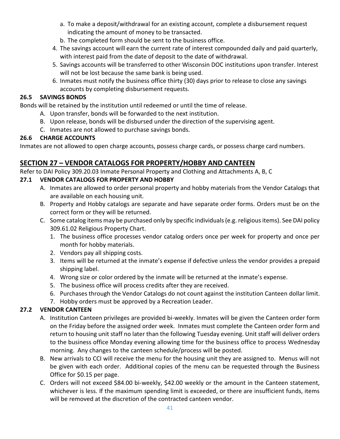- a. To make a deposit/withdrawal for an existing account, complete a disbursement request indicating the amount of money to be transacted.
- b. The completed form should be sent to the business office.
- 4. The savings account will earn the current rate of interest compounded daily and paid quarterly, with interest paid from the date of deposit to the date of withdrawal.
- 5. Savings accounts will be transferred to other Wisconsin DOC institutions upon transfer. Interest will not be lost because the same bank is being used.
- 6. Inmates must notify the business office thirty (30) days prior to release to close any savings accounts by completing disbursement requests.

#### <span id="page-40-0"></span>**26.5 SAVINGS BONDS**

Bonds will be retained by the institution until redeemed or until the time of release.

- A. Upon transfer, bonds will be forwarded to the next institution.
- B. Upon release, bonds will be disbursed under the direction of the supervising agent.
- C. Inmates are not allowed to purchase savings bonds.

#### <span id="page-40-1"></span>**26.6 CHARGE ACCOUNTS**

Inmates are not allowed to open charge accounts, possess charge cards, or possess charge card numbers.

### <span id="page-40-2"></span>**SECTION 27 – VENDOR CATALOGS FOR PROPERTY/HOBBY AND CANTEEN**

Refer to DAI Policy 309.20.03 Inmate Personal Property and Clothing and Attachments A, B, C

#### <span id="page-40-3"></span>**27.1 VENDOR CATALOGS FOR PROPERTY AND HOBBY**

- A. Inmates are allowed to order personal property and hobby materials from the Vendor Catalogs that are available on each housing unit.
- B. Property and Hobby catalogs are separate and have separate order forms. Orders must be on the correct form or they will be returned.
- C. Some catalog items may be purchased only by specific individuals (e.g. religious items). See DAI policy 309.61.02 Religious Property Chart.
	- 1. The business office processes vendor catalog orders once per week for property and once per month for hobby materials.
	- 2. Vendors pay all shipping costs.
	- 3. Items will be returned at the inmate's expense if defective unless the vendor provides a prepaid shipping label.
	- 4. Wrong size or color ordered by the inmate will be returned at the inmate's expense.
	- 5. The business office will process credits after they are received.
	- 6. Purchases through the Vendor Catalogs do not count against the institution Canteen dollar limit.
	- 7. Hobby orders must be approved by a Recreation Leader.

#### <span id="page-40-4"></span>**27.2 VENDOR CANTEEN**

- A. Institution Canteen privileges are provided bi-weekly. Inmates will be given the Canteen order form on the Friday before the assigned order week. Inmates must complete the Canteen order form and return to housing unit staff no later than the following Tuesday evening. Unit staff will deliver orders to the business office Monday evening allowing time for the business office to process Wednesday morning. Any changes to the canteen schedule/process will be posted.
- B. New arrivals to CCI will receive the menu for the housing unit they are assigned to. Menus will not be given with each order. Additional copies of the menu can be requested through the Business Office for \$0.15 per page.
- C. Orders will not exceed \$84.00 bi-weekly, \$42.00 weekly or the amount in the Canteen statement, whichever is less. If the maximum spending limit is exceeded, or there are insufficient funds, items will be removed at the discretion of the contracted canteen vendor.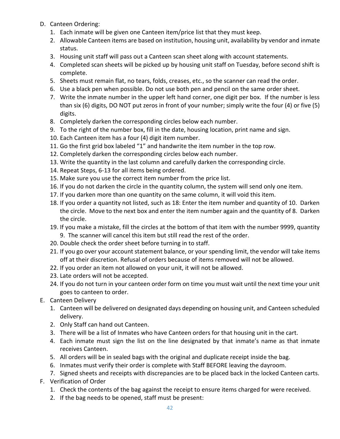- D. Canteen Ordering:
	- 1. Each inmate will be given one Canteen item/price list that they must keep.
	- 2. Allowable Canteen items are based on institution, housing unit, availability by vendor and inmate status.
	- 3. Housing unit staff will pass out a Canteen scan sheet along with account statements.
	- 4. Completed scan sheets will be picked up by housing unit staff on Tuesday, before second shift is complete.
	- 5. Sheets must remain flat, no tears, folds, creases, etc., so the scanner can read the order.
	- 6. Use a black pen when possible. Do not use both pen and pencil on the same order sheet.
	- 7. Write the inmate number in the upper left hand corner, one digit per box. If the number is less than six (6) digits, DO NOT put zeros in front of your number; simply write the four (4) or five (5) digits.
	- 8. Completely darken the corresponding circles below each number.
	- 9. To the right of the number box, fill in the date, housing location, print name and sign.
	- 10. Each Canteen item has a four (4) digit item number.
	- 11. Go the first grid box labeled "1" and handwrite the item number in the top row.
	- 12. Completely darken the corresponding circles below each number.
	- 13. Write the quantity in the last column and carefully darken the corresponding circle.
	- 14. Repeat Steps, 6-13 for all items being ordered.
	- 15. Make sure you use the correct item number from the price list.
	- 16. If you do not darken the circle in the quantity column, the system will send only one item.
	- 17. If you darken more than one quantity on the same column, it will void this item.
	- 18. If you order a quantity not listed, such as 18: Enter the item number and quantity of 10. Darken the circle. Move to the next box and enter the item number again and the quantity of 8. Darken the circle.
	- 19. If you make a mistake, fill the circles at the bottom of that item with the number 9999, quantity 9. The scanner will cancel this item but still read the rest of the order.
	- 20. Double check the order sheet before turning in to staff.
	- 21. If you go over your account statement balance, or your spending limit, the vendor will take items off at their discretion. Refusal of orders because of items removed will not be allowed.
	- 22. If you order an item not allowed on your unit, it will not be allowed.
	- 23. Late orders will not be accepted.
	- 24. If you do not turn in your canteen order form on time you must wait until the next time your unit goes to canteen to order.
- E. Canteen Delivery
	- 1. Canteen will be delivered on designated days depending on housing unit, and Canteen scheduled delivery.
	- 2. Only Staff can hand out Canteen.
	- 3. There will be a list of Inmates who have Canteen orders for that housing unit in the cart.
	- 4. Each inmate must sign the list on the line designated by that inmate's name as that inmate receives Canteen.
	- 5. All orders will be in sealed bags with the original and duplicate receipt inside the bag.
	- 6. Inmates must verify their order is complete with Staff BEFORE leaving the dayroom.
	- 7. Signed sheets and receipts with discrepancies are to be placed back in the locked Canteen carts.
- F. Verification of Order
	- 1. Check the contents of the bag against the receipt to ensure items charged for were received.
	- 2. If the bag needs to be opened, staff must be present: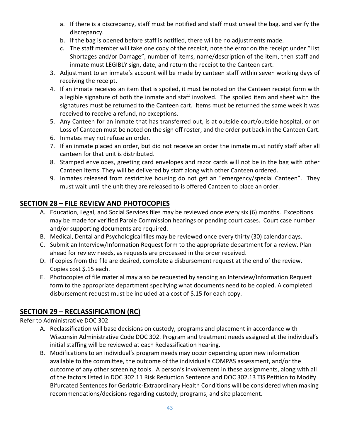- a. If there is a discrepancy, staff must be notified and staff must unseal the bag, and verify the discrepancy.
- b. If the bag is opened before staff is notified, there will be no adjustments made.
- c. The staff member will take one copy of the receipt, note the error on the receipt under "List Shortages and/or Damage", number of items, name/description of the item, then staff and inmate must LEGIBLY sign, date, and return the receipt to the Canteen cart.
- 3. Adjustment to an inmate's account will be made by canteen staff within seven working days of receiving the receipt.
- 4. If an inmate receives an item that is spoiled, it must be noted on the Canteen receipt form with a legible signature of both the inmate and staff involved. The spoiled item and sheet with the signatures must be returned to the Canteen cart. Items must be returned the same week it was received to receive a refund, no exceptions.
- 5. Any Canteen for an inmate that has transferred out, is at outside court/outside hospital, or on Loss of Canteen must be noted on the sign off roster, and the order put back in the Canteen Cart.
- 6. Inmates may not refuse an order.
- 7. If an inmate placed an order, but did not receive an order the inmate must notify staff after all canteen for that unit is distributed.
- 8. Stamped envelopes, greeting card envelopes and razor cards will not be in the bag with other Canteen items. They will be delivered by staff along with other Canteen ordered.
- 9. Inmates released from restrictive housing do not get an "emergency/special Canteen". They must wait until the unit they are released to is offered Canteen to place an order.

### <span id="page-42-0"></span>**SECTION 28 – FILE REVIEW AND PHOTOCOPIES**

- A. Education, Legal, and Social Services files may be reviewed once every six (6) months. Exceptions may be made for verified Parole Commission hearings or pending court cases. Court case number and/or supporting documents are required.
- B. Medical, Dental and Psychological files may be reviewed once every thirty (30) calendar days.
- C. Submit an Interview/Information Request form to the appropriate department for a review. Plan ahead for review needs, as requests are processed in the order received.
- D. If copies from the file are desired, complete a disbursement request at the end of the review. Copies cost \$.15 each.
- E. Photocopies of file material may also be requested by sending an Interview/Information Request form to the appropriate department specifying what documents need to be copied. A completed disbursement request must be included at a cost of \$.15 for each copy.

# <span id="page-42-1"></span>**SECTION 29 – RECLASSIFICATION (RC)**

Refer to Administrative DOC 302

- A. Reclassification will base decisions on custody, programs and placement in accordance with Wisconsin Administrative Code DOC 302. Program and treatment needs assigned at the individual's initial staffing will be reviewed at each Reclassification hearing.
- B. Modifications to an individual's program needs may occur depending upon new information available to the committee, the outcome of the individual's COMPAS assessment, and/or the outcome of any other screening tools. A person's involvement in these assignments, along with all of the factors listed in DOC 302.11 Risk Reduction Sentence and DOC 302.13 TIS Petition to Modify Bifurcated Sentences for Geriatric-Extraordinary Health Conditions will be considered when making recommendations/decisions regarding custody, programs, and site placement.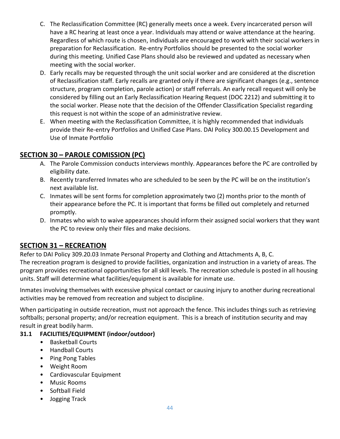- C. The Reclassification Committee (RC) generally meets once a week. Every incarcerated person will have a RC hearing at least once a year. Individuals may attend or waive attendance at the hearing. Regardless of which route is chosen, individuals are encouraged to work with their social workers in preparation for Reclassification. Re-entry Portfolios should be presented to the social worker during this meeting. Unified Case Plans should also be reviewed and updated as necessary when meeting with the social worker.
- D. Early recalls may be requested through the unit social worker and are considered at the discretion of Reclassification staff. Early recalls are granted only if there are significant changes (e.g., sentence structure, program completion, parole action) or staff referrals. An early recall request will only be considered by filling out an Early Reclassification Hearing Request (DOC 2212) and submitting it to the social worker. Please note that the decision of the Offender Classification Specialist regarding this request is not within the scope of an administrative review.
- E. When meeting with the Reclassification Committee, it is highly recommended that individuals provide their Re-entry Portfolios and Unified Case Plans. DAI Policy 300.00.15 Development and Use of Inmate Portfolio

### <span id="page-43-0"></span>**SECTION 30 – PAROLE COMISSION (PC)**

- A. The Parole Commission conducts interviews monthly. Appearances before the PC are controlled by eligibility date.
- B. Recently transferred Inmates who are scheduled to be seen by the PC will be on the institution's next available list.
- C. Inmates will be sent forms for completion approximately two (2) months prior to the month of their appearance before the PC. It is important that forms be filled out completely and returned promptly.
- D. Inmates who wish to waive appearances should inform their assigned social workers that they want the PC to review only their files and make decisions.

### <span id="page-43-1"></span>**SECTION 31 – RECREATION**

Refer to DAI Policy 309.20.03 Inmate Personal Property and Clothing and Attachments A, B, C. The recreation program is designed to provide facilities, organization and instruction in a variety of areas. The program provides recreational opportunities for all skill levels. The recreation schedule is posted in all housing units. Staff will determine what facilities/equipment is available for inmate use.

Inmates involving themselves with excessive physical contact or causing injury to another during recreational activities may be removed from recreation and subject to discipline.

When participating in outside recreation, must not approach the fence. This includes things such as retrieving softballs; personal property; and/or recreation equipment. This is a breach of institution security and may result in great bodily harm.

#### <span id="page-43-2"></span>**31.1 FACILITIES/EQUIPMENT (indoor/outdoor)**

- Basketball Courts
- Handball Courts
- Ping Pong Tables
- Weight Room
- Cardiovascular Equipment
- Music Rooms
- Softball Field
- Jogging Track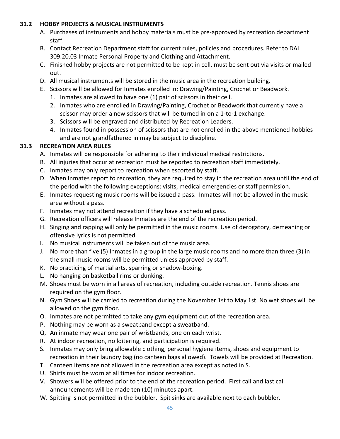#### <span id="page-44-0"></span>**31.2 HOBBY PROJECTS & MUSICAL INSTRUMENTS**

- A. Purchases of instruments and hobby materials must be pre-approved by recreation department staff.
- B. Contact Recreation Department staff for current rules, policies and procedures. Refer to DAI 309.20.03 Inmate Personal Property and Clothing and Attachment.
- C. Finished hobby projects are not permitted to be kept in cell, must be sent out via visits or mailed out.
- D. All musical instruments will be stored in the music area in the recreation building.
- E. Scissors will be allowed for Inmates enrolled in: Drawing/Painting, Crochet or Beadwork.
	- 1. Inmates are allowed to have one (1) pair of scissors in their cell.
	- 2. Inmates who are enrolled in Drawing/Painting, Crochet or Beadwork that currently have a scissor may order a new scissors that will be turned in on a 1-to-1 exchange.
	- 3. Scissors will be engraved and distributed by Recreation Leaders.
	- 4. Inmates found in possession of scissors that are not enrolled in the above mentioned hobbies and are not grandfathered in may be subject to discipline.

### <span id="page-44-1"></span>**31.3 RECREATION AREA RULES**

- A. Inmates will be responsible for adhering to their individual medical restrictions.
- B. All injuries that occur at recreation must be reported to recreation staff immediately.
- C. Inmates may only report to recreation when escorted by staff.
- D. When Inmates report to recreation, they are required to stay in the recreation area until the end of the period with the following exceptions: visits, medical emergencies or staff permission.
- E. Inmates requesting music rooms will be issued a pass. Inmates will not be allowed in the music area without a pass.
- F. Inmates may not attend recreation if they have a scheduled pass.
- G. Recreation officers will release Inmates are the end of the recreation period.
- H. Singing and rapping will only be permitted in the music rooms. Use of derogatory, demeaning or offensive lyrics is not permitted.
- I. No musical instruments will be taken out of the music area.
- J. No more than five (5) Inmates in a group in the large music rooms and no more than three (3) in the small music rooms will be permitted unless approved by staff.
- K. No practicing of martial arts, sparring or shadow-boxing.
- L. No hanging on basketball rims or dunking.
- M. Shoes must be worn in all areas of recreation, including outside recreation. Tennis shoes are required on the gym floor.
- N. Gym Shoes will be carried to recreation during the November 1st to May 1st. No wet shoes will be allowed on the gym floor.
- O. Inmates are not permitted to take any gym equipment out of the recreation area.
- P. Nothing may be worn as a sweatband except a sweatband.
- Q. An inmate may wear one pair of wristbands, one on each wrist.
- R. At indoor recreation, no loitering, and participation is required.
- S. Inmates may only bring allowable clothing, personal hygiene items, shoes and equipment to recreation in their laundry bag (no canteen bags allowed). Towels will be provided at Recreation.
- T. Canteen items are not allowed in the recreation area except as noted in S.
- U. Shirts must be worn at all times for indoor recreation.
- V. Showers will be offered prior to the end of the recreation period. First call and last call announcements will be made ten (10) minutes apart.
- W. Spitting is not permitted in the bubbler. Spit sinks are available next to each bubbler.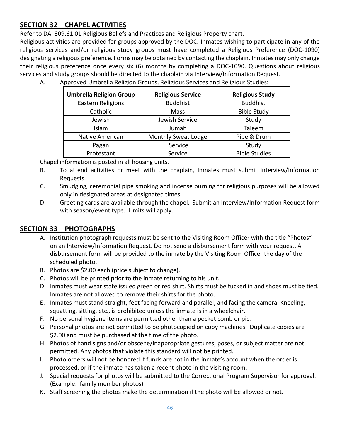### <span id="page-45-0"></span>**SECTION 32 – CHAPEL ACTIVITIES**

Refer to DAI 309.61.01 Religious Beliefs and Practices and Religious Property chart.

Religious activities are provided for groups approved by the DOC. Inmates wishing to participate in any of the religious services and/or religious study groups must have completed a Religious Preference (DOC-1090) designating a religious preference. Forms may be obtained by contacting the chaplain. Inmates may only change their religious preference once every six (6) months by completing a DOC-1090. Questions about religious services and study groups should be directed to the chaplain via Interview/Information Request.

A. Approved Umbrella Religion Groups, Religious Services and Religious Studies:

| <b>Umbrella Religion Group</b> | <b>Religious Service</b>   | <b>Religious Study</b> |
|--------------------------------|----------------------------|------------------------|
| <b>Eastern Religions</b>       | <b>Buddhist</b>            | <b>Buddhist</b>        |
| Catholic                       | Mass                       | <b>Bible Study</b>     |
| Jewish                         | Jewish Service             | Study                  |
| Islam                          | Jumah                      | Taleem                 |
| <b>Native American</b>         | <b>Monthly Sweat Lodge</b> | Pipe & Drum            |
| Pagan                          | Service                    | Study                  |
| Protestant                     | Service                    | <b>Bible Studies</b>   |

Chapel information is posted in all housing units.

- B. To attend activities or meet with the chaplain, Inmates must submit Interview/Information Requests.
- C. Smudging, ceremonial pipe smoking and incense burning for religious purposes will be allowed only in designated areas at designated times.
- D. Greeting cards are available through the chapel. Submit an Interview/Information Request form with season/event type. Limits will apply.

### <span id="page-45-1"></span>**SECTION 33 – PHOTOGRAPHS**

- A. Institution photograph requests must be sent to the Visiting Room Officer with the title "Photos" on an Interview/Information Request. Do not send a disbursement form with your request. A disbursement form will be provided to the inmate by the Visiting Room Officer the day of the scheduled photo.
- B. Photos are \$2.00 each (price subject to change).
- C. Photos will be printed prior to the inmate returning to his unit.
- D. Inmates must wear state issued green or red shirt. Shirts must be tucked in and shoes must be tied. Inmates are not allowed to remove their shirts for the photo.
- E. Inmates must stand straight, feet facing forward and parallel, and facing the camera. Kneeling, squatting, sitting, etc., is prohibited unless the inmate is in a wheelchair.
- F. No personal hygiene items are permitted other than a pocket comb or pic.
- G. Personal photos are not permitted to be photocopied on copy machines. Duplicate copies are \$2.00 and must be purchased at the time of the photo.
- H. Photos of hand signs and/or obscene/inappropriate gestures, poses, or subject matter are not permitted. Any photos that violate this standard will not be printed.
- I. Photo orders will not be honored if funds are not in the inmate's account when the order is processed, or if the inmate has taken a recent photo in the visiting room.
- J. Special requests for photos will be submitted to the Correctional Program Supervisor for approval. (Example: family member photos)
- K. Staff screening the photos make the determination if the photo will be allowed or not.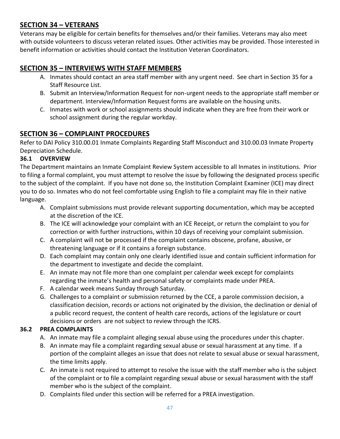### <span id="page-46-0"></span>**SECTION 34 – VETERANS**

Veterans may be eligible for certain benefits for themselves and/or their families. Veterans may also meet with outside volunteers to discuss veteran related issues. Other activities may be provided. Those interested in benefit information or activities should contact the Institution Veteran Coordinators.

### <span id="page-46-1"></span>**SECTION 35 – INTERVIEWS WITH STAFF MEMBERS**

- A. Inmates should contact an area staff member with any urgent need. See chart in Section 35 for a Staff Resource List.
- B. Submit an Interview/Information Request for non-urgent needs to the appropriate staff member or department. Interview/Information Request forms are available on the housing units.
- C. Inmates with work or school assignments should indicate when they are free from their work or school assignment during the regular workday.

### <span id="page-46-2"></span>**SECTION 36 – COMPLAINT PROCEDURES**

Refer to DAI Policy 310.00.01 Inmate Complaints Regarding Staff Misconduct and 310.00.03 Inmate Property Depreciation Schedule.

#### <span id="page-46-3"></span>**36.1 OVERVIEW**

The Department maintains an Inmate Complaint Review System accessible to all Inmates in institutions. Prior to filing a formal complaint, you must attempt to resolve the issue by following the designated process specific to the subject of the complaint. If you have not done so, the Institution Complaint Examiner (ICE) may direct you to do so. Inmates who do not feel comfortable using English to file a complaint may file in their native language.

- A. Complaint submissions must provide relevant supporting documentation, which may be accepted at the discretion of the ICE.
- B. The ICE will acknowledge your complaint with an ICE Receipt, or return the complaint to you for correction or with further instructions, within 10 days of receiving your complaint submission.
- C. A complaint will not be processed if the complaint contains obscene, profane, abusive, or threatening language or if it contains a foreign substance.
- D. Each complaint may contain only one clearly identified issue and contain sufficient information for the department to investigate and decide the complaint.
- E. An inmate may not file more than one complaint per calendar week except for complaints regarding the inmate's health and personal safety or complaints made under PREA.
- F. A calendar week means Sunday through Saturday.
- G. Challenges to a complaint or submission returned by the CCE, a parole commission decision, a classification decision, records or actions not originated by the division, the declination or denial of a public record request, the content of health care records, actions of the legislature or court decisions or orders are not subject to review through the ICRS.

#### <span id="page-46-4"></span>**36.2 PREA COMPLAINTS**

- A. An inmate may file a complaint alleging sexual abuse using the procedures under this chapter.
- B. An inmate may file a complaint regarding sexual abuse or sexual harassment at any time. If a portion of the complaint alleges an issue that does not relate to sexual abuse or sexual harassment, the time limits apply.
- C. An inmate is not required to attempt to resolve the issue with the staff member who is the subject of the complaint or to file a complaint regarding sexual abuse or sexual harassment with the staff member who is the subject of the complaint.
- D. Complaints filed under this section will be referred for a PREA investigation.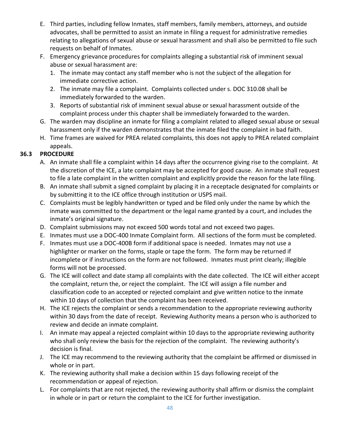- E. Third parties, including fellow Inmates, staff members, family members, attorneys, and outside advocates, shall be permitted to assist an inmate in filing a request for administrative remedies relating to allegations of sexual abuse or sexual harassment and shall also be permitted to file such requests on behalf of Inmates.
- F. Emergency grievance procedures for complaints alleging a substantial risk of imminent sexual abuse or sexual harassment are:
	- 1. The inmate may contact any staff member who is not the subject of the allegation for immediate corrective action.
	- 2. The inmate may file a complaint. Complaints collected under s. DOC 310.08 shall be immediately forwarded to the warden.
	- 3. Reports of substantial risk of imminent sexual abuse or sexual harassment outside of the complaint process under this chapter shall be immediately forwarded to the warden.
- G. The warden may discipline an inmate for filing a complaint related to alleged sexual abuse or sexual harassment only if the warden demonstrates that the inmate filed the complaint in bad faith.
- H. Time frames are waived for PREA related complaints, this does not apply to PREA related complaint appeals.

#### <span id="page-47-0"></span>**36.3 PROCEDURE**

- A. An inmate shall file a complaint within 14 days after the occurrence giving rise to the complaint. At the discretion of the ICE, a late complaint may be accepted for good cause. An inmate shall request to file a late complaint in the written complaint and explicitly provide the reason for the late filing.
- B. An inmate shall submit a signed complaint by placing it in a receptacle designated for complaints or by submitting it to the ICE office through institution or USPS mail.
- C. Complaints must be legibly handwritten or typed and be filed only under the name by which the inmate was committed to the department or the legal name granted by a court, and includes the inmate's original signature.
- D. Complaint submissions may not exceed 500 words total and not exceed two pages.
- E. Inmates must use a DOC-400 Inmate Complaint form. All sections of the form must be completed.
- F. Inmates must use a DOC-400B form if additional space is needed. Inmates may not use a highlighter or marker on the forms, staple or tape the form. The form may be returned if incomplete or if instructions on the form are not followed. Inmates must print clearly; illegible forms will not be processed.
- G. The ICE will collect and date stamp all complaints with the date collected. The ICE will either accept the complaint, return the, or reject the complaint. The ICE will assign a file number and classification code to an accepted or rejected complaint and give written notice to the inmate within 10 days of collection that the complaint has been received.
- H. The ICE rejects the complaint or sends a recommendation to the appropriate reviewing authority within 30 days from the date of receipt. Reviewing Authority means a person who is authorized to review and decide an inmate complaint.
- I. An inmate may appeal a rejected complaint within 10 days to the appropriate reviewing authority who shall only review the basis for the rejection of the complaint. The reviewing authority's decision is final.
- J. The ICE may recommend to the reviewing authority that the complaint be affirmed or dismissed in whole or in part.
- K. The reviewing authority shall make a decision within 15 days following receipt of the recommendation or appeal of rejection.
- L. For complaints that are not rejected, the reviewing authority shall affirm or dismiss the complaint in whole or in part or return the complaint to the ICE for further investigation.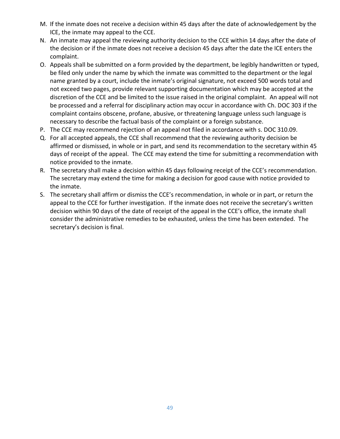- M. If the inmate does not receive a decision within 45 days after the date of acknowledgement by the ICE, the inmate may appeal to the CCE.
- N. An inmate may appeal the reviewing authority decision to the CCE within 14 days after the date of the decision or if the inmate does not receive a decision 45 days after the date the ICE enters the complaint.
- O. Appeals shall be submitted on a form provided by the department, be legibly handwritten or typed, be filed only under the name by which the inmate was committed to the department or the legal name granted by a court, include the inmate's original signature, not exceed 500 words total and not exceed two pages, provide relevant supporting documentation which may be accepted at the discretion of the CCE and be limited to the issue raised in the original complaint. An appeal will not be processed and a referral for disciplinary action may occur in accordance with Ch. DOC 303 if the complaint contains obscene, profane, abusive, or threatening language unless such language is necessary to describe the factual basis of the complaint or a foreign substance.
- P. The CCE may recommend rejection of an appeal not filed in accordance with s. DOC 310.09.
- Q. For all accepted appeals, the CCE shall recommend that the reviewing authority decision be affirmed or dismissed, in whole or in part, and send its recommendation to the secretary within 45 days of receipt of the appeal. The CCE may extend the time for submitting a recommendation with notice provided to the inmate.
- R. The secretary shall make a decision within 45 days following receipt of the CCE's recommendation. The secretary may extend the time for making a decision for good cause with notice provided to the inmate.
- S. The secretary shall affirm or dismiss the CCE's recommendation, in whole or in part, or return the appeal to the CCE for further investigation. If the inmate does not receive the secretary's written decision within 90 days of the date of receipt of the appeal in the CCE's office, the inmate shall consider the administrative remedies to be exhausted, unless the time has been extended. The secretary's decision is final.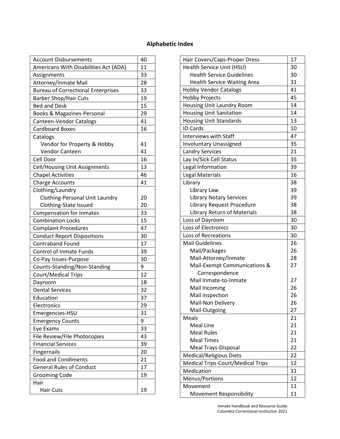### **Alphabetic Index**

| <b>Account Disbursements</b>              | 40 |
|-------------------------------------------|----|
| Americans With Disabilities Act (ADA)     | 11 |
| Assignments                               | 33 |
| Attorney/Inmate Mail                      | 28 |
| <b>Bureau of Correctional Enterprises</b> | 33 |
| <b>Barber Shop/Hair Cuts</b>              | 19 |
| <b>Bed and Desk</b>                       | 15 |
| Books & Magazines-Personal                | 29 |
| Canteen-Vendor Catalogs                   | 41 |
| <b>Cardboard Boxes</b>                    | 16 |
| Catalogs                                  |    |
| Vendor for Property & Hobby               | 41 |
| Vendor Canteen                            | 41 |
| Cell Door                                 | 16 |
| Cell/Housing Unit Assignments             | 13 |
| <b>Chapel Activities</b>                  | 46 |
| <b>Charge Accounts</b>                    | 41 |
| Clothing/Laundry                          |    |
| <b>Clothing-Personal Unit Laundry</b>     | 20 |
| Clothing-State Issued                     | 20 |
| <b>Compensation for Inmates</b>           | 33 |
| <b>Combination Locks</b>                  | 15 |
| <b>Complaint Procedures</b>               | 47 |
| <b>Conduct Report Dispositions</b>        | 30 |
| <b>Contraband Found</b>                   | 17 |
| <b>Control of Inmate Funds</b>            | 39 |
| Co-Pay Issues-Purpose                     | 30 |
| Counts-Standing/Non-Standing              | 9  |
| Court/Medical Trips                       | 12 |
| Dayroom                                   | 18 |
| <b>Dental Services</b>                    | 32 |
| Education                                 | 37 |
| Electronics                               | 29 |
| Emergencies-HSU                           | 31 |
| <b>Emergency Counts</b>                   | 9  |
| Eye Exams                                 | 33 |
| File Review/File Photocopies              | 43 |
| <b>Financial Services</b>                 | 39 |
| Fingernails                               | 20 |
| <b>Food and Condiments</b>                | 21 |
| <b>General Rules of Conduct</b>           | 17 |
| <b>Grooming Code</b>                      | 19 |
| Hair                                      |    |
| <b>Hair Cuts</b>                          | 19 |

| Hair Covers/Caps-Proper Dress            | 17 |
|------------------------------------------|----|
| Health Service Unit (HSU)                | 30 |
| <b>Health Service Guidelines</b>         | 30 |
| <b>Health Service Waiting Area</b>       | 31 |
| <b>Hobby Vendor Catalogs</b>             | 41 |
| <b>Hobby Projects</b>                    | 45 |
| Housing Unit Laundry Room                | 14 |
| <b>Housing Unit Sanitation</b>           | 14 |
| <b>Housing Unit Standards</b>            | 13 |
| <b>ID Cards</b>                          | 10 |
| <b>Interviews with Staff</b>             | 47 |
| <b>Involuntary Unassigned</b>            | 35 |
| <b>Landry Services</b>                   | 21 |
| Lay In/Sick Cell Status                  | 35 |
| Legal Information                        | 39 |
| Legal Materials                          | 16 |
| Library                                  | 38 |
| Library Law                              | 39 |
| <b>Library Notary Services</b>           | 39 |
| Library Request Procedure                | 38 |
| Library Return of Materials              | 38 |
| Loss of Dayroom                          | 30 |
| Loss of Electronics                      | 30 |
| Loss of Recreations                      | 30 |
| <b>Mail Guidelines</b>                   | 26 |
| Mail/Packages                            | 26 |
| Mail-Attorney/Inmate                     | 28 |
| Mail-Exempt Communications &             | 27 |
| Correspondence                           |    |
| Mail Inmate-to-Inmate                    | 27 |
| Mail Incoming                            | 26 |
| Mail Inspection                          | 26 |
| Mail-Non Delivery                        | 26 |
| Mail-Outgoing                            | 27 |
| Meals                                    | 21 |
| <b>Meal Line</b>                         | 21 |
| <b>Meal Rules</b>                        | 21 |
| <b>Meal Times</b>                        | 21 |
| Meal Trays-Disposal                      | 22 |
| Medical/Religious Diets                  | 22 |
| <b>Medical Trips-Court/Medical Trips</b> | 12 |
| Medication                               | 31 |
| Menus/Portions                           | 12 |
| Movement                                 | 11 |
| Movement Responsibility                  | 11 |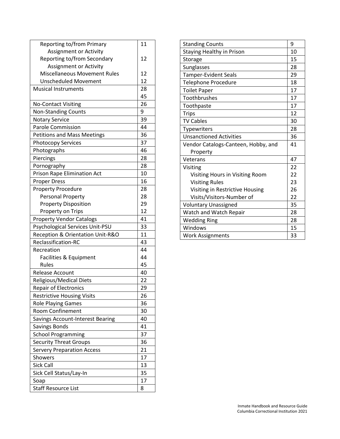| Reporting to/from Primary           | 11 |
|-------------------------------------|----|
| <b>Assignment or Activity</b>       |    |
| Reporting to/from Secondary         | 12 |
| Assignment or Activity              |    |
| <b>Miscellaneous Movement Rules</b> | 12 |
| <b>Unscheduled Movement</b>         | 12 |
| <b>Musical Instruments</b>          | 28 |
|                                     | 45 |
| <b>No-Contact Visiting</b>          | 26 |
| Non-Standing Counts                 | 9  |
| <b>Notary Service</b>               | 39 |
| <b>Parole Commission</b>            | 44 |
| <b>Petitions and Mass Meetings</b>  | 36 |
| <b>Photocopy Services</b>           | 37 |
| Photographs                         | 46 |
| Piercings                           | 28 |
| Pornography                         | 28 |
| <b>Prison Rape Elimination Act</b>  | 10 |
| <b>Proper Dress</b>                 | 16 |
| <b>Property Procedure</b>           | 28 |
| <b>Personal Property</b>            | 28 |
| <b>Property Disposition</b>         | 29 |
| Property on Trips                   | 12 |
| <b>Property Vendor Catalogs</b>     | 41 |
| Psychological Services Unit-PSU     | 33 |
| Reception & Orientation Unit-R&O    | 11 |
| Reclassification-RC                 | 43 |
| Recreation                          | 44 |
| Facilities & Equipment              | 44 |
| Rules                               | 45 |
| Release Account                     | 40 |
| Religious/Medical Diets             | 22 |
| Repair of Electronics               | 29 |
| <b>Restrictive Housing Visits</b>   | 26 |
| <b>Role Playing Games</b>           | 36 |
| Room Confinement                    | 30 |
| Savings Account-Interest Bearing    | 40 |
| Savings Bonds                       | 41 |
| <b>School Programming</b>           | 37 |
| <b>Security Threat Groups</b>       | 36 |
| <b>Servery Preparation Access</b>   | 21 |
| Showers                             | 17 |
| Sick Call                           | 13 |
| Sick Cell Status/Lay-In             | 35 |
| Soap                                | 17 |
| <b>Staff Resource List</b>          | 8  |

| <b>Standing Counts</b>              | 9  |
|-------------------------------------|----|
| <b>Staying Healthy in Prison</b>    | 10 |
| Storage                             | 15 |
| Sunglasses                          | 28 |
| <b>Tamper-Evident Seals</b>         | 29 |
| <b>Telephone Procedure</b>          | 18 |
| <b>Toilet Paper</b>                 | 17 |
| Toothbrushes                        | 17 |
| Toothpaste                          | 17 |
| <b>Trips</b>                        | 12 |
| <b>TV Cables</b>                    | 30 |
| Typewriters                         | 28 |
| <b>Unsanctioned Activities</b>      | 36 |
| Vendor Catalogs-Canteen, Hobby, and |    |
| Property                            |    |
| Veterans                            | 47 |
| Visiting                            | 22 |
| Visiting Hours in Visiting Room     | 22 |
| <b>Visiting Rules</b>               | 23 |
| Visiting in Restrictive Housing     |    |
| Visits/Visitors-Number of           | 22 |
| <b>Voluntary Unassigned</b>         | 35 |
| Watch and Watch Repair              | 28 |
| <b>Wedding Ring</b>                 | 28 |
| Windows                             | 15 |
| <b>Work Assignments</b>             | 33 |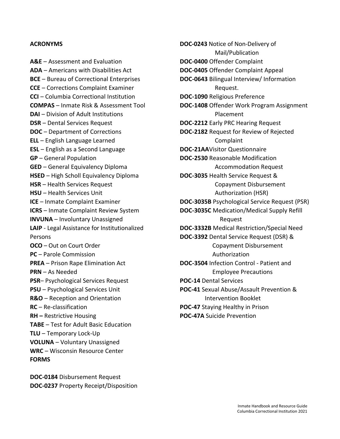#### **ACRONYMS**

**A&E** – Assessment and Evaluation **ADA** – Americans with Disabilities Act **BCE** – Bureau of Correctional Enterprises **CCE** – Corrections Complaint Examiner **CCI** – Columbia Correctional Institution **COMPAS** – Inmate Risk & Assessment Tool **DAI** – Division of Adult Institutions **DSR** – Dental Services Request **DOC** – Department of Corrections **ELL** – English Language Learned **ESL** – English as a Second Language **GP** – General Population **GED** – General Equivalency Diploma **HSED** – High Scholl Equivalency Diploma **HSR** – Health Services Request **HSU** – Health Services Unit **ICE** – Inmate Complaint Examiner **ICRS** – Inmate Complaint Review System **INVUNA** – Involuntary Unassigned **LAIP** - Legal Assistance for Institutionalized Persons **OCO** – Out on Court Order **PC** – Parole Commission **PREA** – Prison Rape Elimination Act **PRN** – As Needed **PSR**– Psychological Services Request **PSU** – Psychological Services Unit **R&O** – Reception and Orientation **RC** – Re-classification **RH –** Restrictive Housing **TABE** – Test for Adult Basic Education **TLU** – Temporary Lock-Up **VOLUNA** – Voluntary Unassigned **WRC** – Wisconsin Resource Center **FORMS**

**DOC-0184** Disbursement Request **DOC-0237** Property Receipt/Disposition **DOC-0243** Notice of Non-Delivery of Mail/Publication **DOC-0400** Offender Complaint **DOC-0405** Offender Complaint Appeal **DOC-0643** Bilingual Interview/ Information Request. **DOC-1090** Religious Preference **DOC-1408** Offender Work Program Assignment Placement **DOC-2212** Early PRC Hearing Request **DOC-2182** Request for Review of Rejected Complaint **DOC-21AA**Visitor Questionnaire **DOC-2530** Reasonable Modification Accommodation Request **DOC-3035** Health Service Request & Copayment Disbursement Authorization (HSR) **DOC-3035B** Psychological Service Request (PSR) **DOC-3035C** Medication/Medical Supply Refill Request **DOC-3332B** Medical Restriction/Special Need **DOC-3392** Dental Service Request (DSR) & Copayment Disbursement Authorization **DOC-3504** Infection Control - Patient and Employee Precautions **POC-14** Dental Services **POC-41** Sexual Abuse/Assault Prevention & Intervention Booklet **POC-47** Staying Healthy in Prison **POC-47A** Suicide Prevention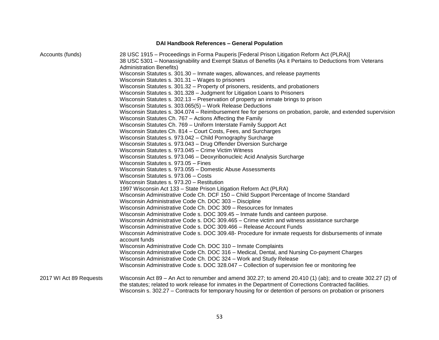#### **DAI Handbook References – General Population**

Accounts (funds) 28 USC 1915 – Proceedings in Forma Pauperis [Federal Prison Litigation Reform Act (PLRA)] 38 USC 5301 – Nonassignability and Exempt Status of Benefits (As it Pertains to Deductions from Veterans Administration Benefits) Wisconsin Statutes s. 301.30 – Inmate wages, allowances, and release payments Wisconsin Statutes s. 301.31 – Wages to prisoners Wisconsin Statutes s. 301.32 – Property of prisoners, residents, and probationers Wisconsin Statutes s. 301.328 – Judgment for Litigation Loans to Prisoners Wisconsin Statutes s. 302.13 – Preservation of property an inmate brings to prison Wisconsin Statutes s. 303.065(5) – Work Release Deductions Wisconsin Statutes s. 304.074 – Reimbursement fee for persons on probation, parole, and extended supervision Wisconsin Statutes Ch. 767 – Actions Affecting the Family Wisconsin Statutes Ch. 769 – Uniform Interstate Family Support Act Wisconsin Statutes Ch. 814 – Court Costs, Fees, and Surcharges Wisconsin Statutes s. 973.042 – Child Pornography Surcharge Wisconsin Statutes s. 973.043 – Drug Offender Diversion Surcharge Wisconsin Statutes s. 973.045 – Crime Victim Witness Wisconsin Statutes s. 973.046 – Deoxyribonucleic Acid Analysis Surcharge Wisconsin Statutes s. 973.05 – Fines Wisconsin Statutes s. 973.055 – Domestic Abuse Assessments Wisconsin Statutes s. 973.06 – Costs Wisconsin Statutes s. 973.20 – Restitution 1997 Wisconsin Act 133 – State Prison Litigation Reform Act (PLRA) Wisconsin Administrative Code Ch. DCF 150 – Child Support Percentage of Income Standard Wisconsin Administrative Code Ch. DOC 303 – Discipline Wisconsin Administrative Code Ch. DOC 309 – Resources for Inmates Wisconsin Administrative Code s. DOC 309.45 – Inmate funds and canteen purpose. Wisconsin Administrative Code s. DOC 309.465 – Crime victim and witness assistance surcharge Wisconsin Administrative Code s. DOC 309.466 – Release Account Funds Wisconsin Administrative Code s. DOC 309.48- Procedure for inmate requests for disbursements of inmate account funds Wisconsin Administrative Code Ch. DOC 310 – Inmate Complaints Wisconsin Administrative Code Ch. DOC 316 – Medical, Dental, and Nursing Co-payment Charges Wisconsin Administrative Code Ch. DOC 324 – Work and Study Release Wisconsin Administrative Code s. DOC 328.047 – Collection of supervision fee or monitoring fee 2017 WI Act 89 Requests Wisconsin Act 89 – An Act to renumber and amend 302.27; to amend 20.410 (1) (ab); and to create 302.27 (2) of the statutes; related to work release for inmates in the Department of Corrections Contracted facilities. Wisconsin s. 302.27 – Contracts for temporary housing for or detention of persons on probation or prisoners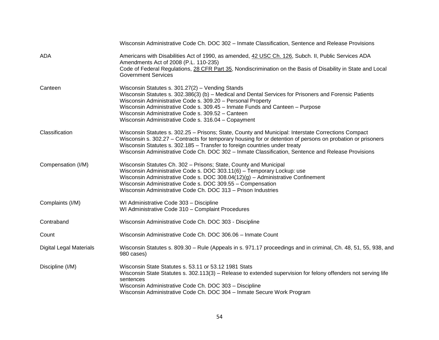|                                | Wisconsin Administrative Code Ch. DOC 302 - Inmate Classification, Sentence and Release Provisions                                                                                                                                                                                                                                                                                                                    |
|--------------------------------|-----------------------------------------------------------------------------------------------------------------------------------------------------------------------------------------------------------------------------------------------------------------------------------------------------------------------------------------------------------------------------------------------------------------------|
| <b>ADA</b>                     | Americans with Disabilities Act of 1990, as amended, 42 USC Ch. 126, Subch. II, Public Services ADA<br>Amendments Act of 2008 (P.L. 110-235)<br>Code of Federal Regulations, 28 CFR Part 35, Nondiscrimination on the Basis of Disability in State and Local<br><b>Government Services</b>                                                                                                                            |
| Canteen                        | Wisconsin Statutes s. 301.27(2) - Vending Stands<br>Wisconsin Statutes s. 302.386(3) (b) - Medical and Dental Services for Prisoners and Forensic Patients<br>Wisconsin Administrative Code s. 309.20 - Personal Property<br>Wisconsin Administrative Code s. 309.45 - Inmate Funds and Canteen - Purpose<br>Wisconsin Administrative Code s. 309.52 - Canteen<br>Wisconsin Administrative Code s. 316.04 - Copayment |
| Classification                 | Wisconsin Statutes s. 302.25 - Prisons; State, County and Municipal: Interstate Corrections Compact<br>Wisconsin s. 302.27 - Contracts for temporary housing for or detention of persons on probation or prisoners<br>Wisconsin Statutes s. 302.185 - Transfer to foreign countries under treaty<br>Wisconsin Administrative Code Ch. DOC 302 - Inmate Classification, Sentence and Release Provisions                |
| Compensation (I/M)             | Wisconsin Statutes Ch. 302 - Prisons; State, County and Municipal<br>Wisconsin Administrative Code s. DOC 303.11(6) - Temporary Lockup: use<br>Wisconsin Administrative Code s. DOC $308.04(12)(g)$ - Administrative Confinement<br>Wisconsin Administrative Code s. DOC 309.55 - Compensation<br>Wisconsin Administrative Code Ch. DOC 313 - Prison Industries                                                       |
| Complaints (I/M)               | WI Administrative Code 303 - Discipline<br>WI Administrative Code 310 - Complaint Procedures                                                                                                                                                                                                                                                                                                                          |
| Contraband                     | Wisconsin Administrative Code Ch. DOC 303 - Discipline                                                                                                                                                                                                                                                                                                                                                                |
| Count                          | Wisconsin Administrative Code Ch. DOC 306.06 - Inmate Count                                                                                                                                                                                                                                                                                                                                                           |
| <b>Digital Legal Materials</b> | Wisconsin Statutes s. 809.30 – Rule (Appeals in s. 971.17 proceedings and in criminal, Ch. 48, 51, 55, 938, and<br>980 cases)                                                                                                                                                                                                                                                                                         |
| Discipline (I/M)               | Wisconsin State Statutes s. 53.11 or 53.12 1981 Stats<br>Wisconsin State Statutes s. 302.113(3) - Release to extended supervision for felony offenders not serving life<br>sentences<br>Wisconsin Administrative Code Ch. DOC 303 - Discipline<br>Wisconsin Administrative Code Ch. DOC 304 - Inmate Secure Work Program                                                                                              |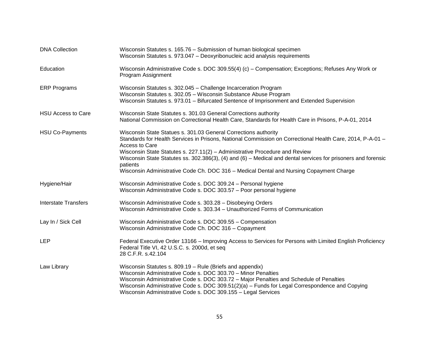| <b>DNA Collection</b>       | Wisconsin Statutes s. 165.76 - Submission of human biological specimen<br>Wisconsin Statutes s. 973.047 - Deoxyribonucleic acid analysis requirements                                                                                                                                                                                                                                                                                                                                                 |
|-----------------------------|-------------------------------------------------------------------------------------------------------------------------------------------------------------------------------------------------------------------------------------------------------------------------------------------------------------------------------------------------------------------------------------------------------------------------------------------------------------------------------------------------------|
| Education                   | Wisconsin Administrative Code s. DOC 309.55(4) (c) - Compensation; Exceptions; Refuses Any Work or<br>Program Assignment                                                                                                                                                                                                                                                                                                                                                                              |
| <b>ERP Programs</b>         | Wisconsin Statutes s. 302.045 - Challenge Incarceration Program<br>Wisconsin Statutes s. 302.05 - Wisconsin Substance Abuse Program<br>Wisconsin Statutes s. 973.01 - Bifurcated Sentence of Imprisonment and Extended Supervision                                                                                                                                                                                                                                                                    |
| <b>HSU Access to Care</b>   | Wisconsin State Statutes s. 301.03 General Corrections authority<br>National Commission on Correctional Health Care, Standards for Health Care in Prisons, P-A-01, 2014                                                                                                                                                                                                                                                                                                                               |
| <b>HSU Co-Payments</b>      | Wisconsin State Statues s. 301.03 General Corrections authority<br>Standards for Health Services in Prisons, National Commission on Correctional Health Care, 2014, P-A-01 -<br>Access to Care<br>Wisconsin State Statutes s. 227.11(2) - Administrative Procedure and Review<br>Wisconsin State Statutes ss. 302.386(3), (4) and (6) – Medical and dental services for prisoners and forensic<br>patients<br>Wisconsin Administrative Code Ch. DOC 316 - Medical Dental and Nursing Copayment Charge |
| Hygiene/Hair                | Wisconsin Administrative Code s. DOC 309.24 - Personal hygiene<br>Wisconsin Administrative Code s. DOC 303.57 - Poor personal hygiene                                                                                                                                                                                                                                                                                                                                                                 |
| <b>Interstate Transfers</b> | Wisconsin Administrative Code s. 303.28 - Disobeying Orders<br>Wisconsin Administrative Code s. 303.34 - Unauthorized Forms of Communication                                                                                                                                                                                                                                                                                                                                                          |
| Lay In / Sick Cell          | Wisconsin Administrative Code s. DOC 309.55 - Compensation<br>Wisconsin Administrative Code Ch. DOC 316 - Copayment                                                                                                                                                                                                                                                                                                                                                                                   |
| <b>LEP</b>                  | Federal Executive Order 13166 – Improving Access to Services for Persons with Limited English Proficiency<br>Federal Title VI, 42 U.S.C. s. 2000d, et seq<br>28 C.F.R. s.42.104                                                                                                                                                                                                                                                                                                                       |
| Law Library                 | Wisconsin Statutes s. 809.19 - Rule (Briefs and appendix)<br>Wisconsin Administrative Code s. DOC 303.70 - Minor Penalties<br>Wisconsin Administrative Code s. DOC 303.72 - Major Penalties and Schedule of Penalties<br>Wisconsin Administrative Code s. DOC 309.51(2)(a) - Funds for Legal Correspondence and Copying<br>Wisconsin Administrative Code s. DOC 309.155 - Legal Services                                                                                                              |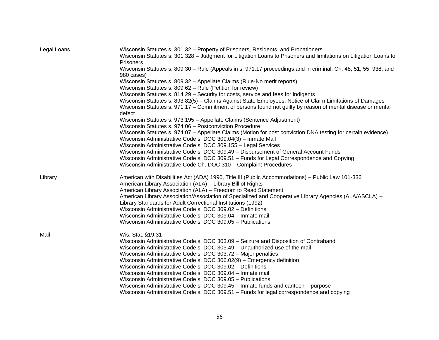| Legal Loans | Wisconsin Statutes s. 301.32 - Property of Prisoners, Residents, and Probationers<br>Wisconsin Statutes s. 301.328 - Judgment for Litigation Loans to Prisoners and limitations on Litigation Loans to<br>Prisoners |
|-------------|---------------------------------------------------------------------------------------------------------------------------------------------------------------------------------------------------------------------|
|             | Wisconsin Statutes s. 809.30 - Rule (Appeals in s. 971.17 proceedings and in criminal, Ch. 48, 51, 55, 938, and<br>980 cases)                                                                                       |
|             | Wisconsin Statutes s. 809.32 - Appellate Claims (Rule-No merit reports)                                                                                                                                             |
|             | Wisconsin Statutes s. 809.62 - Rule (Petition for review)                                                                                                                                                           |
|             | Wisconsin Statutes s. 814.29 - Security for costs, service and fees for indigents                                                                                                                                   |
|             | Wisconsin Statutes s. 893.82(5) - Claims Against State Employees; Notice of Claim Limitations of Damages                                                                                                            |
|             | Wisconsin Statutes s. 971.17 – Commitment of persons found not guilty by reason of mental disease or mental<br>defect                                                                                               |
|             | Wisconsin Statutes s. 973.195 - Appellate Claims (Sentence Adjustment)                                                                                                                                              |
|             | Wisconsin Statutes s. 974.06 - Postconviction Procedure                                                                                                                                                             |
|             | Wisconsin Statutes s. 974.07 - Appellate Claims (Motion for post conviction DNA testing for certain evidence)<br>Wisconsin Administrative Code s. DOC 309.04(3) - Inmate Mail                                       |
|             | Wisconsin Administrative Code s. DOC 309.155 - Legal Services                                                                                                                                                       |
|             | Wisconsin Administrative Code s. DOC 309.49 - Disbursement of General Account Funds                                                                                                                                 |
|             | Wisconsin Administrative Code s. DOC 309.51 - Funds for Legal Correspondence and Copying                                                                                                                            |
|             | Wisconsin Administrative Code Ch. DOC 310 - Complaint Procedures                                                                                                                                                    |
| Library     | American with Disabilities Act (ADA) 1990, Title III (Public Accommodations) – Public Law 101-336<br>American Library Association (ALA) - Library Bill of Rights                                                    |
|             | American Library Association (ALA) - Freedom to Read Statement                                                                                                                                                      |
|             | American Library Association/Association of Specialized and Cooperative Library Agencies (ALA/ASCLA) -                                                                                                              |
|             | Library Standards for Adult Correctional Institutions (1992)                                                                                                                                                        |
|             | Wisconsin Administrative Code s. DOC 309.02 - Definitions                                                                                                                                                           |
|             | Wisconsin Administrative Code s. DOC 309.04 - Inmate mail                                                                                                                                                           |
|             | Wisconsin Administrative Code s. DOC 309.05 - Publications                                                                                                                                                          |
| Mail        | Wis. Stat. §19.31                                                                                                                                                                                                   |
|             | Wisconsin Administrative Code s. DOC 303.09 - Seizure and Disposition of Contraband                                                                                                                                 |
|             | Wisconsin Administrative Code s. DOC 303.49 - Unauthorized use of the mail                                                                                                                                          |
|             | Wisconsin Administrative Code s. DOC 303.72 - Major penalties                                                                                                                                                       |
|             | Wisconsin Administrative Code s. DOC 306.02(9) - Emergency definition                                                                                                                                               |
|             | Wisconsin Administrative Code s. DOC 309.02 - Definitions                                                                                                                                                           |
|             | Wisconsin Administrative Code s. DOC 309.04 - Inmate mail                                                                                                                                                           |
|             | Wisconsin Administrative Code s. DOC 309.05 - Publications                                                                                                                                                          |
|             | Wisconsin Administrative Code s. DOC 309.45 - Inmate funds and canteen - purpose                                                                                                                                    |
|             | Wisconsin Administrative Code s. DOC 309.51 - Funds for legal correspondence and copying                                                                                                                            |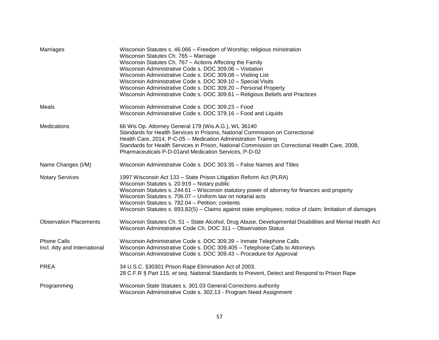| Marriages                                          | Wisconsin Statutes s. 46.066 - Freedom of Worship; religious ministration<br>Wisconsin Statutes Ch. 765 - Marriage<br>Wisconsin Statutes Ch. 767 - Actions Affecting the Family<br>Wisconsin Administrative Code s. DOC 309.06 - Visitation<br>Wisconsin Administrative Code s. DOC 309.08 - Visiting List<br>Wisconsin Administrative Code s. DOC 309.10 - Special Visits<br>Wisconsin Administrative Code s. DOC 309.20 - Personal Property<br>Wisconsin Administrative Code s. DOC 309.61 - Religious Beliefs and Practices |
|----------------------------------------------------|--------------------------------------------------------------------------------------------------------------------------------------------------------------------------------------------------------------------------------------------------------------------------------------------------------------------------------------------------------------------------------------------------------------------------------------------------------------------------------------------------------------------------------|
| Meals                                              | Wisconsin Administrative Code s. DOC 309.23 - Food<br>Wisconsin Administrative Code s. DOC 379.16 - Food and Liquids                                                                                                                                                                                                                                                                                                                                                                                                           |
| Medications                                        | 66 Wis Op. Attorney General 179 (Wis.A.G.), WL 36140<br>Standards for Health Services in Prisons, National Commission on Correctional<br>Health Care, 2014, P-C-05 -- Medication Administration Training<br>Standards for Health Services in Prison, National Commission on Correctional Health Care, 2008,<br>Pharmaceuticals P-D-01 and Medication Services, P-D-02                                                                                                                                                          |
| Name Changes (I/M)                                 | Wisconsin Administrative Code s. DOC 303.35 - False Names and Titles                                                                                                                                                                                                                                                                                                                                                                                                                                                           |
| <b>Notary Services</b>                             | 1997 Wisconsin Act 133 - State Prison Litigation Reform Act (PLRA)<br>Wisconsin Statutes s. 20.919 - Notary public<br>Wisconsin Statutes s. 244.61 - Wisconsin statutory power of attorney for finances and property<br>Wisconsin Statutes s. 706.07 - Uniform law on notarial acts<br>Wisconsin Statutes s. 782.04 - Petition; contents<br>Wisconsin Statutes s. 893.82(5) - Claims against state employees; notice of claim; limitation of damages                                                                           |
| <b>Observation Placements</b>                      | Wisconsin Statutes Ch. 51 - State Alcohol, Drug Abuse, Developmental Disabilities and Mental Health Act<br>Wisconsin Administrative Code Ch. DOC 311 - Observation Status                                                                                                                                                                                                                                                                                                                                                      |
| <b>Phone Calls</b><br>Incl. Atty and International | Wisconsin Administrative Code s. DOC 309.39 - Inmate Telephone Calls<br>Wisconsin Administrative Code s. DOC 309.405 - Telephone Calls to Attorneys<br>Wisconsin Administrative Code s. DOC 309.43 - Procedure for Approval                                                                                                                                                                                                                                                                                                    |
| <b>PREA</b>                                        | 34 U.S.C. §30301 Prison Rape Elimination Act of 2003.<br>28 C.F.R § Part 115, et seq. National Standards to Prevent, Detect and Respond to Prison Rape                                                                                                                                                                                                                                                                                                                                                                         |
| Programming                                        | Wisconsin State Statutes s. 301.03 General Corrections authority<br>Wisconsin Administrative Code s. 302.13 - Program Need Assignment                                                                                                                                                                                                                                                                                                                                                                                          |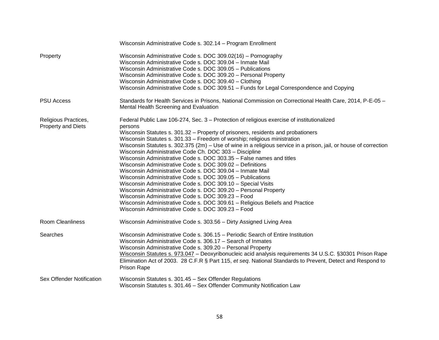|                                                   | Wisconsin Administrative Code s. 302.14 - Program Enrollment                                                                                                                                                                                                                                                                                                                                                                                                                                                                                                                                                                                                                                                                                                                                                                                                                                                                                                                                                                                         |
|---------------------------------------------------|------------------------------------------------------------------------------------------------------------------------------------------------------------------------------------------------------------------------------------------------------------------------------------------------------------------------------------------------------------------------------------------------------------------------------------------------------------------------------------------------------------------------------------------------------------------------------------------------------------------------------------------------------------------------------------------------------------------------------------------------------------------------------------------------------------------------------------------------------------------------------------------------------------------------------------------------------------------------------------------------------------------------------------------------------|
| Property                                          | Wisconsin Administrative Code s. DOC 309.02(16) - Pornography<br>Wisconsin Administrative Code s. DOC 309.04 - Inmate Mail<br>Wisconsin Administrative Code s. DOC 309.05 - Publications<br>Wisconsin Administrative Code s. DOC 309.20 - Personal Property<br>Wisconsin Administrative Code s. DOC 309.40 - Clothing<br>Wisconsin Administrative Code s. DOC 309.51 - Funds for Legal Correspondence and Copying                                                                                                                                                                                                                                                                                                                                                                                                                                                                                                                                                                                                                                    |
| <b>PSU Access</b>                                 | Standards for Health Services in Prisons, National Commission on Correctional Health Care, 2014, P-E-05 -<br>Mental Health Screening and Evaluation                                                                                                                                                                                                                                                                                                                                                                                                                                                                                                                                                                                                                                                                                                                                                                                                                                                                                                  |
| Religious Practices,<br><b>Property and Diets</b> | Federal Public Law 106-274, Sec. 3 – Protection of religious exercise of institutionalized<br>persons<br>Wisconsin Statutes s. 301.32 - Property of prisoners, residents and probationers<br>Wisconsin Statutes s. 301.33 - Freedom of worship; religious ministration<br>Wisconsin Statutes s. 302.375 (2m) - Use of wine in a religious service in a prison, jail, or house of correction<br>Wisconsin Administrative Code Ch. DOC 303 - Discipline<br>Wisconsin Administrative Code s. DOC 303.35 - False names and titles<br>Wisconsin Administrative Code s. DOC 309.02 - Definitions<br>Wisconsin Administrative Code s. DOC 309.04 - Inmate Mail<br>Wisconsin Administrative Code s. DOC 309.05 - Publications<br>Wisconsin Administrative Code s. DOC 309.10 - Special Visits<br>Wisconsin Administrative Code s. DOC 309.20 - Personal Property<br>Wisconsin Administrative Code s. DOC 309.23 - Food<br>Wisconsin Administrative Code s. DOC 309.61 - Religious Beliefs and Practice<br>Wisconsin Administrative Code s. DOC 309.23 - Food |
| <b>Room Cleanliness</b>                           | Wisconsin Administrative Code s. 303.56 - Dirty Assigned Living Area                                                                                                                                                                                                                                                                                                                                                                                                                                                                                                                                                                                                                                                                                                                                                                                                                                                                                                                                                                                 |
| Searches                                          | Wisconsin Administrative Code s. 306.15 - Periodic Search of Entire Institution<br>Wisconsin Administrative Code s. 306.17 - Search of Inmates<br>Wisconsin Administrative Code s. 309.20 - Personal Property<br>Wisconsin Statutes s. 973.047 - Deoxyribonucleic acid analysis requirements 34 U.S.C. §30301 Prison Rape<br>Elimination Act of 2003. 28 C.F.R § Part 115, et seq. National Standards to Prevent, Detect and Respond to<br><b>Prison Rape</b>                                                                                                                                                                                                                                                                                                                                                                                                                                                                                                                                                                                        |
| Sex Offender Notification                         | Wisconsin Statutes s. 301.45 - Sex Offender Regulations<br>Wisconsin Statutes s. 301.46 - Sex Offender Community Notification Law                                                                                                                                                                                                                                                                                                                                                                                                                                                                                                                                                                                                                                                                                                                                                                                                                                                                                                                    |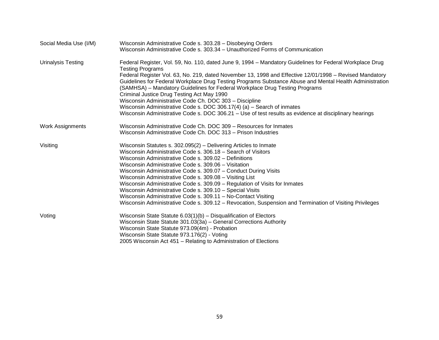| Social Media Use (I/M)    | Wisconsin Administrative Code s. 303.28 - Disobeying Orders                                                                                                                                                        |
|---------------------------|--------------------------------------------------------------------------------------------------------------------------------------------------------------------------------------------------------------------|
|                           | Wisconsin Administrative Code s. 303.34 - Unauthorized Forms of Communication                                                                                                                                      |
| <b>Urinalysis Testing</b> | Federal Register, Vol. 59, No. 110, dated June 9, 1994 - Mandatory Guidelines for Federal Workplace Drug                                                                                                           |
|                           | <b>Testing Programs</b>                                                                                                                                                                                            |
|                           | Federal Register Vol. 63, No. 219, dated November 13, 1998 and Effective 12/01/1998 - Revised Mandatory<br>Guidelines for Federal Workplace Drug Testing Programs Substance Abuse and Mental Health Administration |
|                           | (SAMHSA) – Mandatory Guidelines for Federal Workplace Drug Testing Programs                                                                                                                                        |
|                           | Criminal Justice Drug Testing Act May 1990                                                                                                                                                                         |
|                           | Wisconsin Administrative Code Ch. DOC 303 - Discipline                                                                                                                                                             |
|                           | Wisconsin Administrative Code s. DOC 306.17(4) (a) $-$ Search of inmates                                                                                                                                           |
|                           | Wisconsin Administrative Code s. DOC 306.21 - Use of test results as evidence at disciplinary hearings                                                                                                             |
| <b>Work Assignments</b>   | Wisconsin Administrative Code Ch. DOC 309 - Resources for Inmates                                                                                                                                                  |
|                           | Wisconsin Administrative Code Ch. DOC 313 - Prison Industries                                                                                                                                                      |
| Visiting                  | Wisconsin Statutes s. 302.095(2) – Delivering Articles to Inmate                                                                                                                                                   |
|                           | Wisconsin Administrative Code s. 306.18 - Search of Visitors                                                                                                                                                       |
|                           | Wisconsin Administrative Code s. 309.02 - Definitions                                                                                                                                                              |
|                           | Wisconsin Administrative Code s. 309.06 - Visitation                                                                                                                                                               |
|                           | Wisconsin Administrative Code s. 309.07 - Conduct During Visits                                                                                                                                                    |
|                           | Wisconsin Administrative Code s. 309.08 - Visiting List                                                                                                                                                            |
|                           | Wisconsin Administrative Code s. 309.09 - Regulation of Visits for Inmates                                                                                                                                         |
|                           | Wisconsin Administrative Code s. 309.10 - Special Visits                                                                                                                                                           |
|                           | Wisconsin Administrative Code s. 309.11 - No-Contact Visiting                                                                                                                                                      |
|                           | Wisconsin Administrative Code s. 309.12 - Revocation, Suspension and Termination of Visiting Privileges                                                                                                            |
| Voting                    | Wisconsin State Statute $6.03(1)(b)$ – Disqualification of Electors                                                                                                                                                |
|                           | Wisconsin State Statute 301.03(3a) - General Corrections Authority                                                                                                                                                 |
|                           | Wisconsin State Statute 973.09(4m) - Probation                                                                                                                                                                     |
|                           | Wisconsin State Statute 973.176(2) - Voting                                                                                                                                                                        |
|                           | 2005 Wisconsin Act 451 – Relating to Administration of Elections                                                                                                                                                   |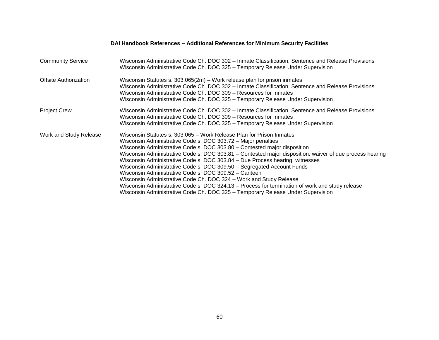|                          | PAI HANGOOK KEIEI ENGES – AGGILIONAI KEIEI ENGES TOI MININGIN OEGANG TAGNILIES                                                                                                                                                                                                                                                                                                                                                                                                                                                                                                                                                                                                                                                                                                                                |
|--------------------------|---------------------------------------------------------------------------------------------------------------------------------------------------------------------------------------------------------------------------------------------------------------------------------------------------------------------------------------------------------------------------------------------------------------------------------------------------------------------------------------------------------------------------------------------------------------------------------------------------------------------------------------------------------------------------------------------------------------------------------------------------------------------------------------------------------------|
| <b>Community Service</b> | Wisconsin Administrative Code Ch. DOC 302 - Inmate Classification, Sentence and Release Provisions<br>Wisconsin Administrative Code Ch. DOC 325 - Temporary Release Under Supervision                                                                                                                                                                                                                                                                                                                                                                                                                                                                                                                                                                                                                         |
| Offsite Authorization    | Wisconsin Statutes s. $303.065(2m)$ – Work release plan for prison inmates<br>Wisconsin Administrative Code Ch. DOC 302 - Inmate Classification, Sentence and Release Provisions<br>Wisconsin Administrative Code Ch. DOC 309 – Resources for Inmates<br>Wisconsin Administrative Code Ch. DOC 325 - Temporary Release Under Supervision                                                                                                                                                                                                                                                                                                                                                                                                                                                                      |
| <b>Project Crew</b>      | Wisconsin Administrative Code Ch. DOC 302 - Inmate Classification, Sentence and Release Provisions<br>Wisconsin Administrative Code Ch. DOC 309 – Resources for Inmates<br>Wisconsin Administrative Code Ch. DOC 325 - Temporary Release Under Supervision                                                                                                                                                                                                                                                                                                                                                                                                                                                                                                                                                    |
| Work and Study Release   | Wisconsin Statutes s. 303.065 - Work Release Plan for Prison Inmates<br>Wisconsin Administrative Code s. DOC 303.72 - Major penalties<br>Wisconsin Administrative Code s. DOC 303.80 - Contested major disposition<br>Wisconsin Administrative Code s. DOC 303.81 - Contested major disposition: waiver of due process hearing<br>Wisconsin Administrative Code s. DOC 303.84 - Due Process hearing: witnesses<br>Wisconsin Administrative Code s. DOC 309.50 - Segregated Account Funds<br>Wisconsin Administrative Code s. DOC 309.52 - Canteen<br>Wisconsin Administrative Code Ch. DOC 324 - Work and Study Release<br>Wisconsin Administrative Code s. DOC 324.13 - Process for termination of work and study release<br>Wisconsin Administrative Code Ch. DOC 325 - Temporary Release Under Supervision |

#### **DAI Handbook References – Additional References for Minimum Security Facilities**